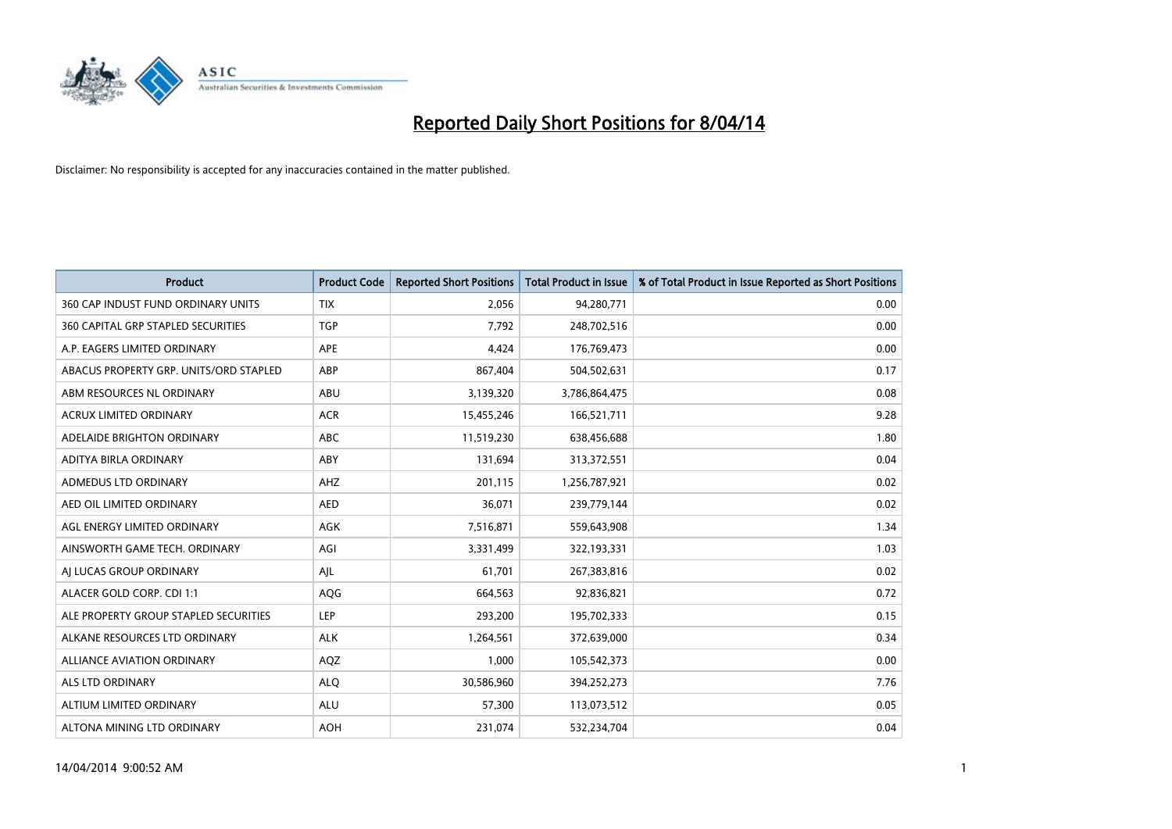

| <b>Product</b>                            | <b>Product Code</b> | <b>Reported Short Positions</b> | <b>Total Product in Issue</b> | % of Total Product in Issue Reported as Short Positions |
|-------------------------------------------|---------------------|---------------------------------|-------------------------------|---------------------------------------------------------|
| 360 CAP INDUST FUND ORDINARY UNITS        | <b>TIX</b>          | 2,056                           | 94,280,771                    | 0.00                                                    |
| <b>360 CAPITAL GRP STAPLED SECURITIES</b> | <b>TGP</b>          | 7,792                           | 248,702,516                   | 0.00                                                    |
| A.P. EAGERS LIMITED ORDINARY              | APE                 | 4,424                           | 176,769,473                   | 0.00                                                    |
| ABACUS PROPERTY GRP. UNITS/ORD STAPLED    | ABP                 | 867,404                         | 504,502,631                   | 0.17                                                    |
| ABM RESOURCES NL ORDINARY                 | ABU                 | 3,139,320                       | 3,786,864,475                 | 0.08                                                    |
| <b>ACRUX LIMITED ORDINARY</b>             | <b>ACR</b>          | 15,455,246                      | 166,521,711                   | 9.28                                                    |
| ADELAIDE BRIGHTON ORDINARY                | <b>ABC</b>          | 11,519,230                      | 638,456,688                   | 1.80                                                    |
| ADITYA BIRLA ORDINARY                     | ABY                 | 131,694                         | 313,372,551                   | 0.04                                                    |
| ADMEDUS LTD ORDINARY                      | AHZ                 | 201,115                         | 1,256,787,921                 | 0.02                                                    |
| AED OIL LIMITED ORDINARY                  | <b>AED</b>          | 36,071                          | 239,779,144                   | 0.02                                                    |
| AGL ENERGY LIMITED ORDINARY               | AGK                 | 7,516,871                       | 559,643,908                   | 1.34                                                    |
| AINSWORTH GAME TECH. ORDINARY             | AGI                 | 3,331,499                       | 322,193,331                   | 1.03                                                    |
| AI LUCAS GROUP ORDINARY                   | AJL                 | 61,701                          | 267,383,816                   | 0.02                                                    |
| ALACER GOLD CORP. CDI 1:1                 | AQG                 | 664,563                         | 92,836,821                    | 0.72                                                    |
| ALE PROPERTY GROUP STAPLED SECURITIES     | <b>LEP</b>          | 293,200                         | 195,702,333                   | 0.15                                                    |
| ALKANE RESOURCES LTD ORDINARY             | <b>ALK</b>          | 1,264,561                       | 372,639,000                   | 0.34                                                    |
| ALLIANCE AVIATION ORDINARY                | AQZ                 | 1,000                           | 105,542,373                   | 0.00                                                    |
| <b>ALS LTD ORDINARY</b>                   | <b>ALQ</b>          | 30,586,960                      | 394,252,273                   | 7.76                                                    |
| ALTIUM LIMITED ORDINARY                   | <b>ALU</b>          | 57,300                          | 113,073,512                   | 0.05                                                    |
| ALTONA MINING LTD ORDINARY                | <b>AOH</b>          | 231,074                         | 532,234,704                   | 0.04                                                    |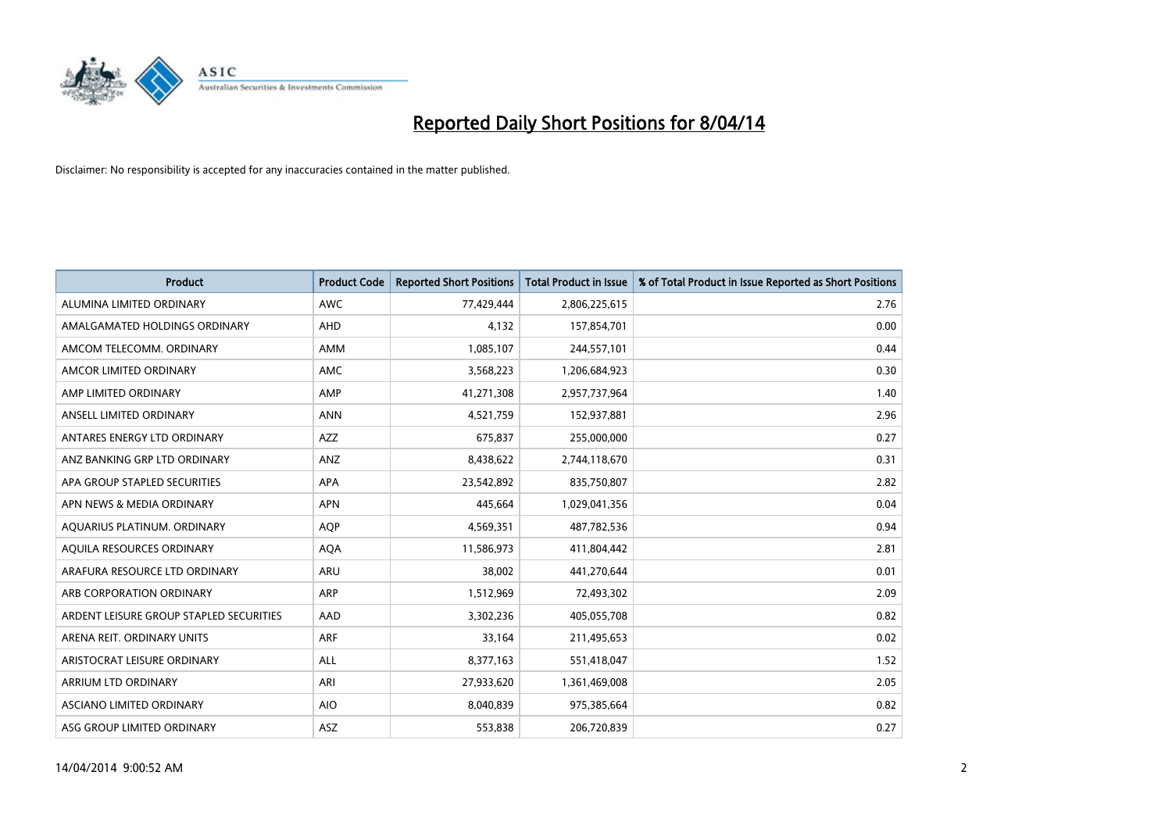

| <b>Product</b>                          | <b>Product Code</b> | <b>Reported Short Positions</b> | <b>Total Product in Issue</b> | % of Total Product in Issue Reported as Short Positions |
|-----------------------------------------|---------------------|---------------------------------|-------------------------------|---------------------------------------------------------|
| ALUMINA LIMITED ORDINARY                | <b>AWC</b>          | 77,429,444                      | 2,806,225,615                 | 2.76                                                    |
| AMALGAMATED HOLDINGS ORDINARY           | AHD                 | 4,132                           | 157,854,701                   | 0.00                                                    |
| AMCOM TELECOMM, ORDINARY                | AMM                 | 1,085,107                       | 244,557,101                   | 0.44                                                    |
| AMCOR LIMITED ORDINARY                  | AMC                 | 3,568,223                       | 1,206,684,923                 | 0.30                                                    |
| AMP LIMITED ORDINARY                    | AMP                 | 41,271,308                      | 2,957,737,964                 | 1.40                                                    |
| ANSELL LIMITED ORDINARY                 | <b>ANN</b>          | 4,521,759                       | 152,937,881                   | 2.96                                                    |
| ANTARES ENERGY LTD ORDINARY             | AZZ                 | 675,837                         | 255,000,000                   | 0.27                                                    |
| ANZ BANKING GRP LTD ORDINARY            | ANZ                 | 8,438,622                       | 2,744,118,670                 | 0.31                                                    |
| APA GROUP STAPLED SECURITIES            | APA                 | 23,542,892                      | 835,750,807                   | 2.82                                                    |
| APN NEWS & MEDIA ORDINARY               | <b>APN</b>          | 445,664                         | 1,029,041,356                 | 0.04                                                    |
| AQUARIUS PLATINUM. ORDINARY             | <b>AQP</b>          | 4,569,351                       | 487,782,536                   | 0.94                                                    |
| AQUILA RESOURCES ORDINARY               | <b>AQA</b>          | 11,586,973                      | 411,804,442                   | 2.81                                                    |
| ARAFURA RESOURCE LTD ORDINARY           | <b>ARU</b>          | 38,002                          | 441,270,644                   | 0.01                                                    |
| ARB CORPORATION ORDINARY                | <b>ARP</b>          | 1,512,969                       | 72,493,302                    | 2.09                                                    |
| ARDENT LEISURE GROUP STAPLED SECURITIES | AAD                 | 3,302,236                       | 405,055,708                   | 0.82                                                    |
| ARENA REIT. ORDINARY UNITS              | ARF                 | 33,164                          | 211,495,653                   | 0.02                                                    |
| ARISTOCRAT LEISURE ORDINARY             | ALL                 | 8,377,163                       | 551,418,047                   | 1.52                                                    |
| ARRIUM LTD ORDINARY                     | ARI                 | 27,933,620                      | 1,361,469,008                 | 2.05                                                    |
| ASCIANO LIMITED ORDINARY                | <b>AIO</b>          | 8,040,839                       | 975,385,664                   | 0.82                                                    |
| ASG GROUP LIMITED ORDINARY              | ASZ                 | 553,838                         | 206,720,839                   | 0.27                                                    |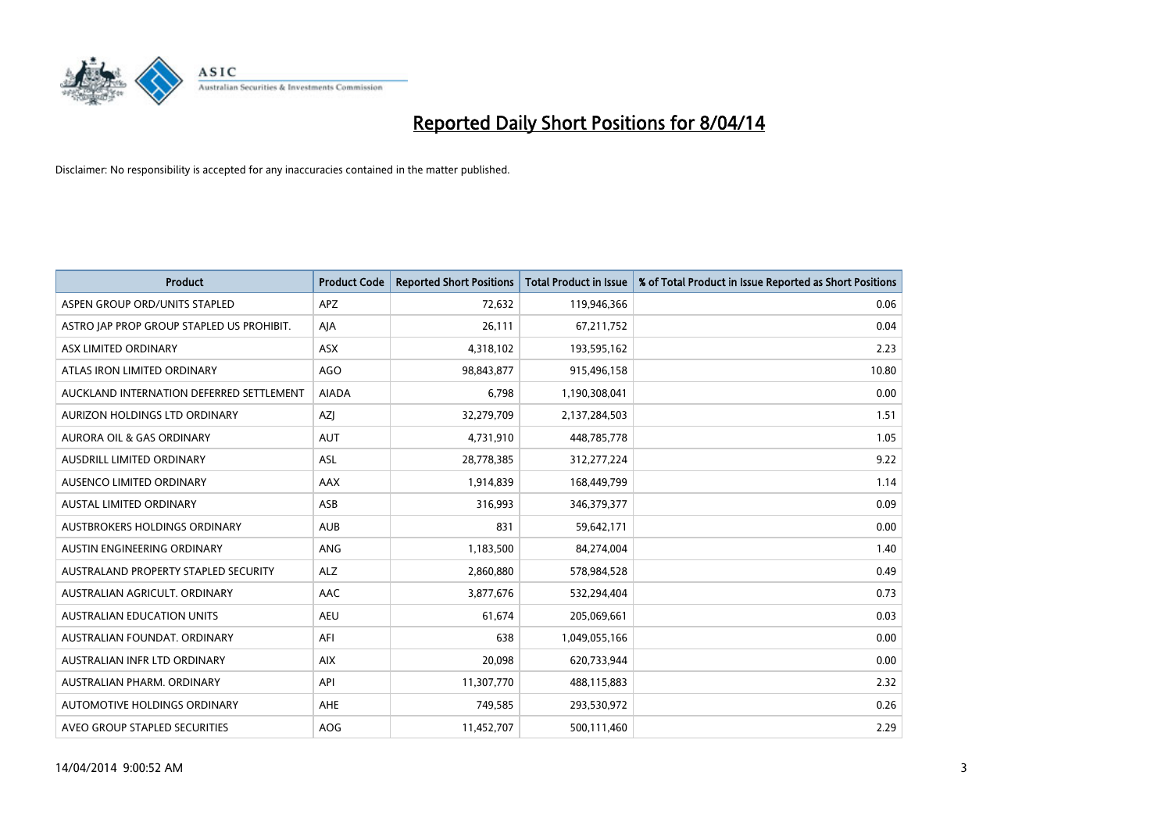

| <b>Product</b>                            | <b>Product Code</b> | <b>Reported Short Positions</b> | <b>Total Product in Issue</b> | % of Total Product in Issue Reported as Short Positions |
|-------------------------------------------|---------------------|---------------------------------|-------------------------------|---------------------------------------------------------|
| ASPEN GROUP ORD/UNITS STAPLED             | <b>APZ</b>          | 72,632                          | 119,946,366                   | 0.06                                                    |
| ASTRO JAP PROP GROUP STAPLED US PROHIBIT. | AJA                 | 26,111                          | 67,211,752                    | 0.04                                                    |
| ASX LIMITED ORDINARY                      | <b>ASX</b>          | 4,318,102                       | 193,595,162                   | 2.23                                                    |
| ATLAS IRON LIMITED ORDINARY               | <b>AGO</b>          | 98,843,877                      | 915,496,158                   | 10.80                                                   |
| AUCKLAND INTERNATION DEFERRED SETTLEMENT  | <b>AIADA</b>        | 6,798                           | 1,190,308,041                 | 0.00                                                    |
| AURIZON HOLDINGS LTD ORDINARY             | AZJ                 | 32,279,709                      | 2,137,284,503                 | 1.51                                                    |
| AURORA OIL & GAS ORDINARY                 | <b>AUT</b>          | 4,731,910                       | 448,785,778                   | 1.05                                                    |
| AUSDRILL LIMITED ORDINARY                 | ASL                 | 28,778,385                      | 312,277,224                   | 9.22                                                    |
| AUSENCO LIMITED ORDINARY                  | AAX                 | 1,914,839                       | 168,449,799                   | 1.14                                                    |
| <b>AUSTAL LIMITED ORDINARY</b>            | ASB                 | 316,993                         | 346, 379, 377                 | 0.09                                                    |
| AUSTBROKERS HOLDINGS ORDINARY             | <b>AUB</b>          | 831                             | 59,642,171                    | 0.00                                                    |
| AUSTIN ENGINEERING ORDINARY               | <b>ANG</b>          | 1,183,500                       | 84,274,004                    | 1.40                                                    |
| AUSTRALAND PROPERTY STAPLED SECURITY      | <b>ALZ</b>          | 2,860,880                       | 578,984,528                   | 0.49                                                    |
| AUSTRALIAN AGRICULT, ORDINARY             | AAC                 | 3,877,676                       | 532,294,404                   | 0.73                                                    |
| <b>AUSTRALIAN EDUCATION UNITS</b>         | <b>AEU</b>          | 61,674                          | 205,069,661                   | 0.03                                                    |
| AUSTRALIAN FOUNDAT, ORDINARY              | AFI                 | 638                             | 1,049,055,166                 | 0.00                                                    |
| AUSTRALIAN INFR LTD ORDINARY              | <b>AIX</b>          | 20,098                          | 620,733,944                   | 0.00                                                    |
| AUSTRALIAN PHARM, ORDINARY                | API                 | 11,307,770                      | 488,115,883                   | 2.32                                                    |
| AUTOMOTIVE HOLDINGS ORDINARY              | <b>AHE</b>          | 749,585                         | 293,530,972                   | 0.26                                                    |
| AVEO GROUP STAPLED SECURITIES             | AOG                 | 11,452,707                      | 500,111,460                   | 2.29                                                    |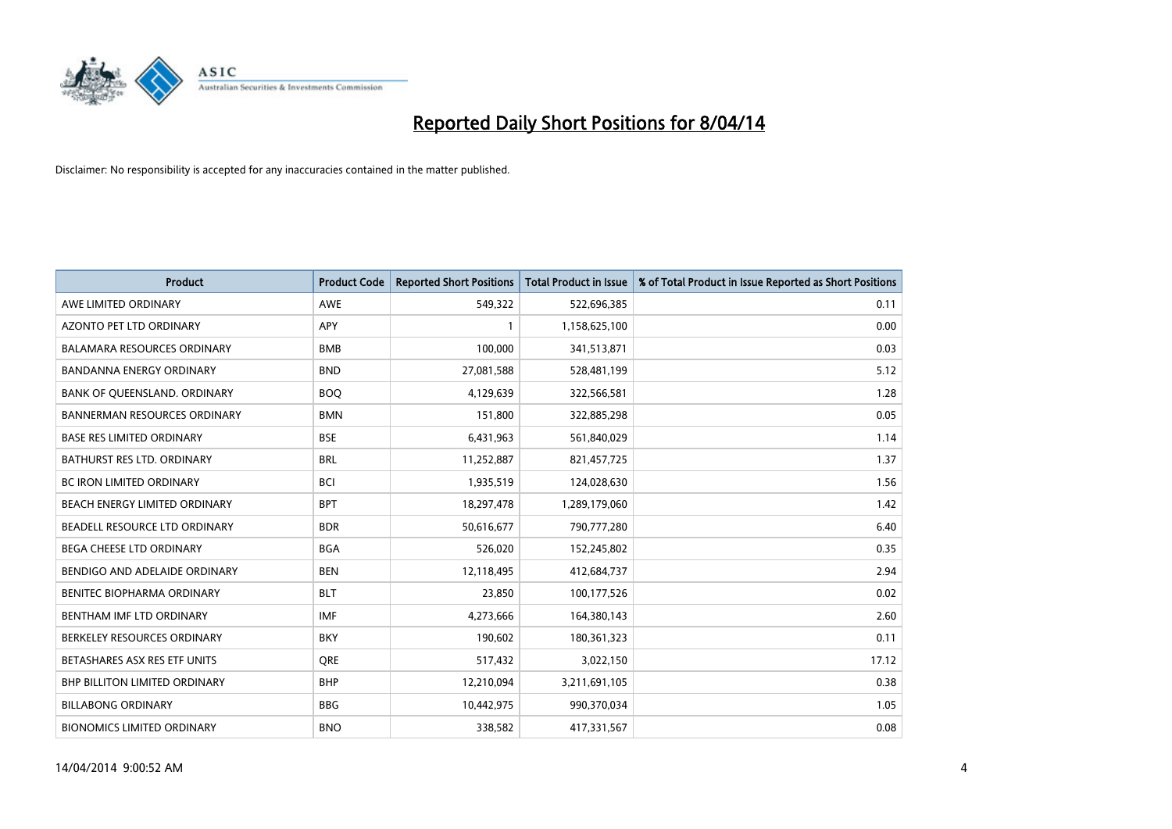

| <b>Product</b>                       | <b>Product Code</b> | <b>Reported Short Positions</b> | <b>Total Product in Issue</b> | % of Total Product in Issue Reported as Short Positions |
|--------------------------------------|---------------------|---------------------------------|-------------------------------|---------------------------------------------------------|
| AWE LIMITED ORDINARY                 | <b>AWE</b>          | 549,322                         | 522,696,385                   | 0.11                                                    |
| AZONTO PET LTD ORDINARY              | <b>APY</b>          | 1                               | 1,158,625,100                 | 0.00                                                    |
| <b>BALAMARA RESOURCES ORDINARY</b>   | <b>BMB</b>          | 100,000                         | 341,513,871                   | 0.03                                                    |
| BANDANNA ENERGY ORDINARY             | <b>BND</b>          | 27,081,588                      | 528,481,199                   | 5.12                                                    |
| BANK OF QUEENSLAND. ORDINARY         | <b>BOQ</b>          | 4,129,639                       | 322,566,581                   | 1.28                                                    |
| <b>BANNERMAN RESOURCES ORDINARY</b>  | <b>BMN</b>          | 151,800                         | 322,885,298                   | 0.05                                                    |
| <b>BASE RES LIMITED ORDINARY</b>     | <b>BSE</b>          | 6,431,963                       | 561,840,029                   | 1.14                                                    |
| <b>BATHURST RES LTD. ORDINARY</b>    | <b>BRL</b>          | 11,252,887                      | 821,457,725                   | 1.37                                                    |
| <b>BC IRON LIMITED ORDINARY</b>      | <b>BCI</b>          | 1,935,519                       | 124,028,630                   | 1.56                                                    |
| BEACH ENERGY LIMITED ORDINARY        | <b>BPT</b>          | 18,297,478                      | 1,289,179,060                 | 1.42                                                    |
| BEADELL RESOURCE LTD ORDINARY        | <b>BDR</b>          | 50,616,677                      | 790,777,280                   | 6.40                                                    |
| <b>BEGA CHEESE LTD ORDINARY</b>      | <b>BGA</b>          | 526,020                         | 152,245,802                   | 0.35                                                    |
| BENDIGO AND ADELAIDE ORDINARY        | <b>BEN</b>          | 12,118,495                      | 412,684,737                   | 2.94                                                    |
| BENITEC BIOPHARMA ORDINARY           | <b>BLT</b>          | 23,850                          | 100,177,526                   | 0.02                                                    |
| BENTHAM IMF LTD ORDINARY             | <b>IMF</b>          | 4,273,666                       | 164,380,143                   | 2.60                                                    |
| BERKELEY RESOURCES ORDINARY          | <b>BKY</b>          | 190,602                         | 180,361,323                   | 0.11                                                    |
| BETASHARES ASX RES ETF UNITS         | <b>ORE</b>          | 517,432                         | 3,022,150                     | 17.12                                                   |
| <b>BHP BILLITON LIMITED ORDINARY</b> | <b>BHP</b>          | 12,210,094                      | 3,211,691,105                 | 0.38                                                    |
| <b>BILLABONG ORDINARY</b>            | <b>BBG</b>          | 10,442,975                      | 990,370,034                   | 1.05                                                    |
| <b>BIONOMICS LIMITED ORDINARY</b>    | <b>BNO</b>          | 338,582                         | 417,331,567                   | 0.08                                                    |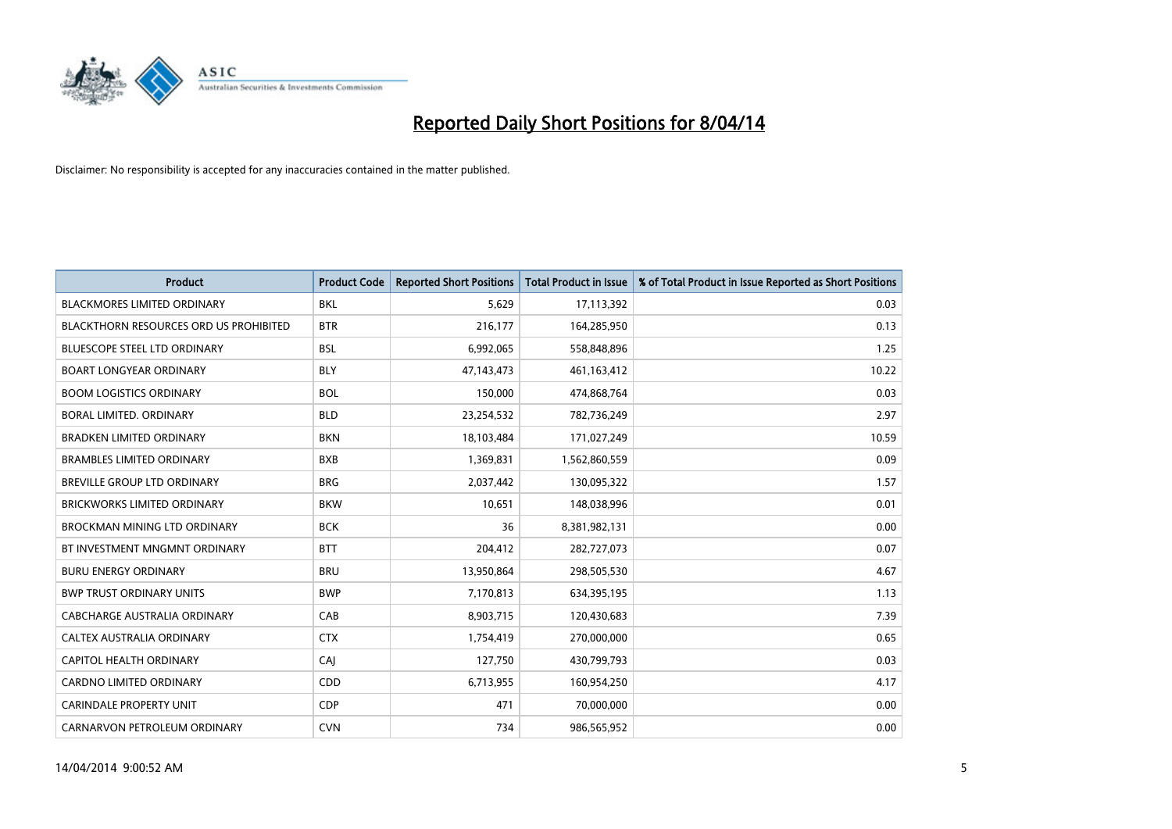

| <b>Product</b>                         | <b>Product Code</b> | <b>Reported Short Positions</b> | <b>Total Product in Issue</b> | % of Total Product in Issue Reported as Short Positions |
|----------------------------------------|---------------------|---------------------------------|-------------------------------|---------------------------------------------------------|
| <b>BLACKMORES LIMITED ORDINARY</b>     | <b>BKL</b>          | 5,629                           | 17,113,392                    | 0.03                                                    |
| BLACKTHORN RESOURCES ORD US PROHIBITED | <b>BTR</b>          | 216,177                         | 164,285,950                   | 0.13                                                    |
| <b>BLUESCOPE STEEL LTD ORDINARY</b>    | <b>BSL</b>          | 6,992,065                       | 558,848,896                   | 1.25                                                    |
| <b>BOART LONGYEAR ORDINARY</b>         | <b>BLY</b>          | 47,143,473                      | 461,163,412                   | 10.22                                                   |
| <b>BOOM LOGISTICS ORDINARY</b>         | <b>BOL</b>          | 150,000                         | 474,868,764                   | 0.03                                                    |
| <b>BORAL LIMITED, ORDINARY</b>         | <b>BLD</b>          | 23,254,532                      | 782,736,249                   | 2.97                                                    |
| <b>BRADKEN LIMITED ORDINARY</b>        | <b>BKN</b>          | 18,103,484                      | 171,027,249                   | 10.59                                                   |
| <b>BRAMBLES LIMITED ORDINARY</b>       | <b>BXB</b>          | 1,369,831                       | 1,562,860,559                 | 0.09                                                    |
| <b>BREVILLE GROUP LTD ORDINARY</b>     | <b>BRG</b>          | 2,037,442                       | 130,095,322                   | 1.57                                                    |
| <b>BRICKWORKS LIMITED ORDINARY</b>     | <b>BKW</b>          | 10,651                          | 148,038,996                   | 0.01                                                    |
| BROCKMAN MINING LTD ORDINARY           | <b>BCK</b>          | 36                              | 8,381,982,131                 | 0.00                                                    |
| BT INVESTMENT MNGMNT ORDINARY          | <b>BTT</b>          | 204,412                         | 282,727,073                   | 0.07                                                    |
| <b>BURU ENERGY ORDINARY</b>            | <b>BRU</b>          | 13,950,864                      | 298,505,530                   | 4.67                                                    |
| <b>BWP TRUST ORDINARY UNITS</b>        | <b>BWP</b>          | 7,170,813                       | 634,395,195                   | 1.13                                                    |
| <b>CABCHARGE AUSTRALIA ORDINARY</b>    | CAB                 | 8,903,715                       | 120,430,683                   | 7.39                                                    |
| CALTEX AUSTRALIA ORDINARY              | <b>CTX</b>          | 1,754,419                       | 270,000,000                   | 0.65                                                    |
| CAPITOL HEALTH ORDINARY                | CAJ                 | 127,750                         | 430,799,793                   | 0.03                                                    |
| CARDNO LIMITED ORDINARY                | CDD                 | 6,713,955                       | 160,954,250                   | 4.17                                                    |
| <b>CARINDALE PROPERTY UNIT</b>         | <b>CDP</b>          | 471                             | 70,000,000                    | 0.00                                                    |
| CARNARVON PETROLEUM ORDINARY           | <b>CVN</b>          | 734                             | 986,565,952                   | 0.00                                                    |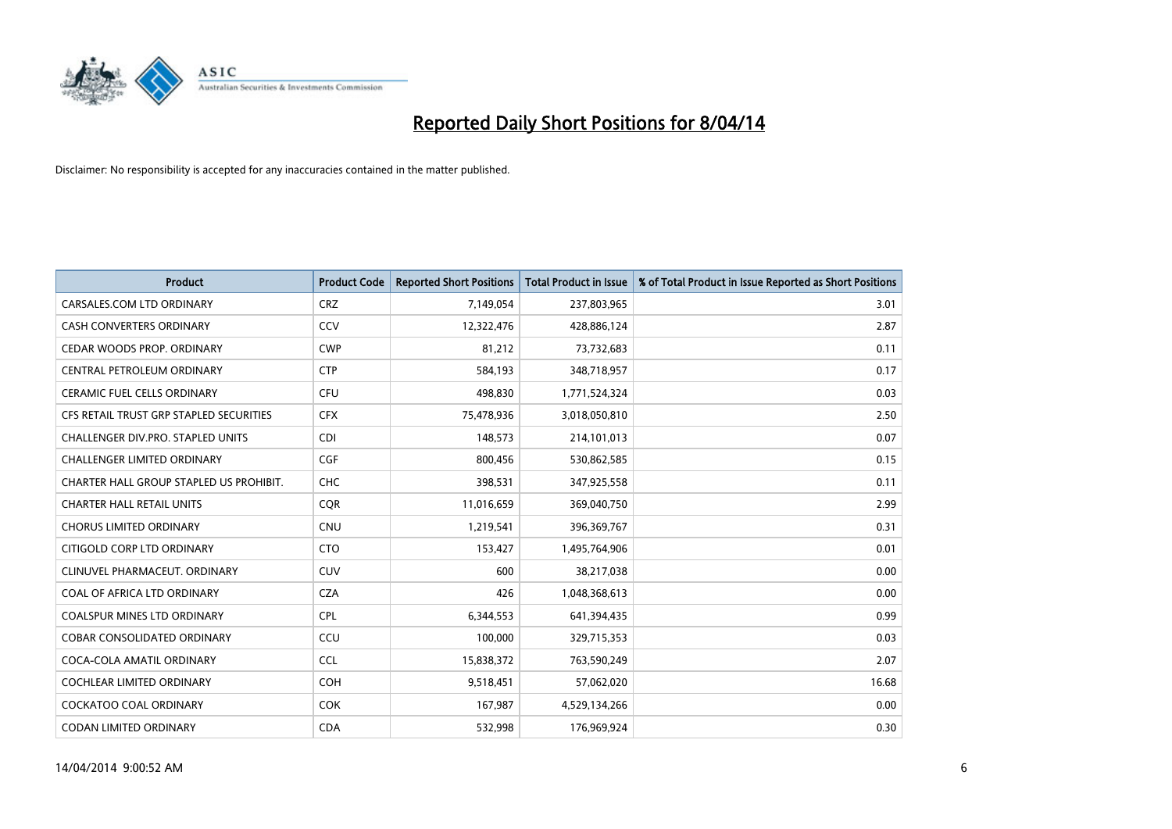

| <b>Product</b>                           | <b>Product Code</b> | <b>Reported Short Positions</b> | <b>Total Product in Issue</b> | % of Total Product in Issue Reported as Short Positions |
|------------------------------------------|---------------------|---------------------------------|-------------------------------|---------------------------------------------------------|
| CARSALES.COM LTD ORDINARY                | <b>CRZ</b>          | 7,149,054                       | 237,803,965                   | 3.01                                                    |
| <b>CASH CONVERTERS ORDINARY</b>          | <b>CCV</b>          | 12,322,476                      | 428,886,124                   | 2.87                                                    |
| CEDAR WOODS PROP. ORDINARY               | <b>CWP</b>          | 81,212                          | 73,732,683                    | 0.11                                                    |
| CENTRAL PETROLEUM ORDINARY               | <b>CTP</b>          | 584,193                         | 348,718,957                   | 0.17                                                    |
| <b>CERAMIC FUEL CELLS ORDINARY</b>       | <b>CFU</b>          | 498,830                         | 1,771,524,324                 | 0.03                                                    |
| CFS RETAIL TRUST GRP STAPLED SECURITIES  | <b>CFX</b>          | 75,478,936                      | 3,018,050,810                 | 2.50                                                    |
| <b>CHALLENGER DIV.PRO. STAPLED UNITS</b> | <b>CDI</b>          | 148,573                         | 214,101,013                   | 0.07                                                    |
| <b>CHALLENGER LIMITED ORDINARY</b>       | <b>CGF</b>          | 800,456                         | 530,862,585                   | 0.15                                                    |
| CHARTER HALL GROUP STAPLED US PROHIBIT.  | <b>CHC</b>          | 398,531                         | 347,925,558                   | 0.11                                                    |
| <b>CHARTER HALL RETAIL UNITS</b>         | <b>COR</b>          | 11,016,659                      | 369,040,750                   | 2.99                                                    |
| <b>CHORUS LIMITED ORDINARY</b>           | <b>CNU</b>          | 1,219,541                       | 396,369,767                   | 0.31                                                    |
| CITIGOLD CORP LTD ORDINARY               | <b>CTO</b>          | 153,427                         | 1,495,764,906                 | 0.01                                                    |
| CLINUVEL PHARMACEUT. ORDINARY            | <b>CUV</b>          | 600                             | 38,217,038                    | 0.00                                                    |
| COAL OF AFRICA LTD ORDINARY              | <b>CZA</b>          | 426                             | 1,048,368,613                 | 0.00                                                    |
| <b>COALSPUR MINES LTD ORDINARY</b>       | <b>CPL</b>          | 6,344,553                       | 641,394,435                   | 0.99                                                    |
| COBAR CONSOLIDATED ORDINARY              | CCU                 | 100,000                         | 329,715,353                   | 0.03                                                    |
| COCA-COLA AMATIL ORDINARY                | <b>CCL</b>          | 15,838,372                      | 763,590,249                   | 2.07                                                    |
| COCHLEAR LIMITED ORDINARY                | <b>COH</b>          | 9,518,451                       | 57,062,020                    | 16.68                                                   |
| <b>COCKATOO COAL ORDINARY</b>            | <b>COK</b>          | 167,987                         | 4,529,134,266                 | 0.00                                                    |
| CODAN LIMITED ORDINARY                   | <b>CDA</b>          | 532,998                         | 176,969,924                   | 0.30                                                    |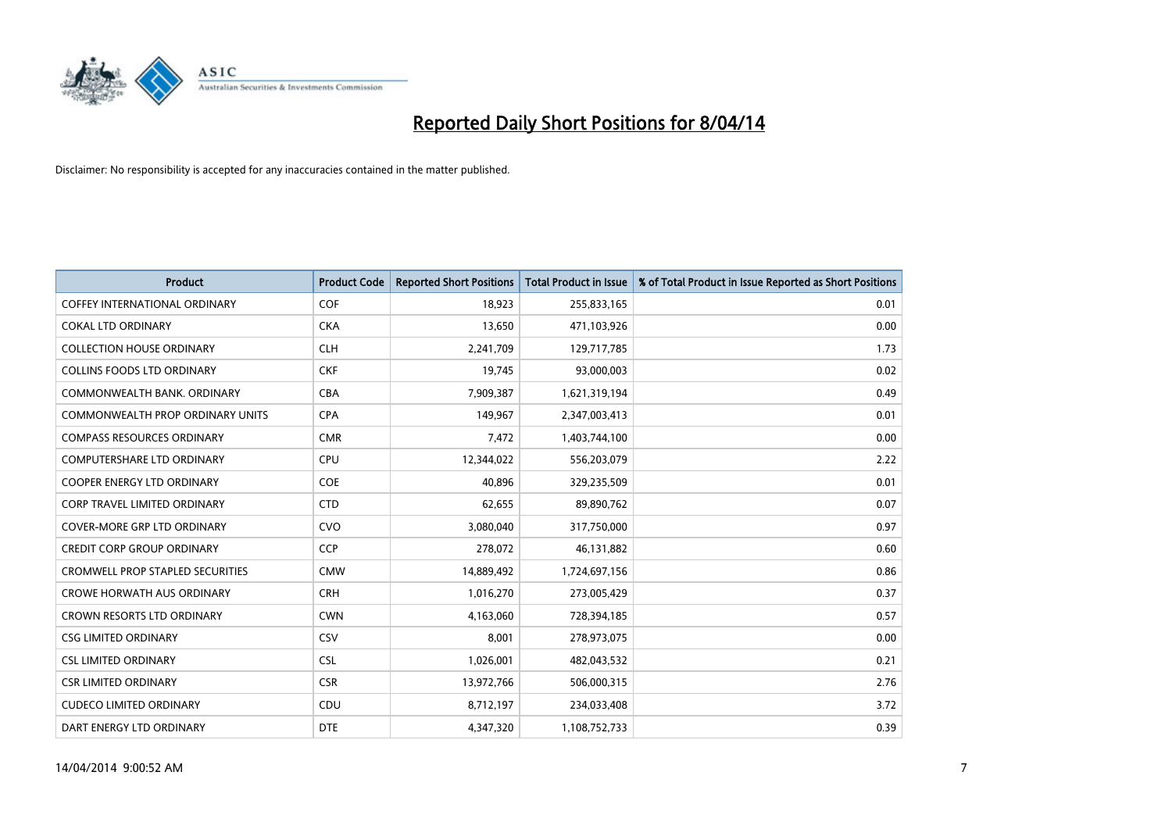

| <b>Product</b>                          | <b>Product Code</b> | <b>Reported Short Positions</b> | <b>Total Product in Issue</b> | % of Total Product in Issue Reported as Short Positions |
|-----------------------------------------|---------------------|---------------------------------|-------------------------------|---------------------------------------------------------|
| <b>COFFEY INTERNATIONAL ORDINARY</b>    | <b>COF</b>          | 18,923                          | 255,833,165                   | 0.01                                                    |
| <b>COKAL LTD ORDINARY</b>               | <b>CKA</b>          | 13,650                          | 471,103,926                   | 0.00                                                    |
| <b>COLLECTION HOUSE ORDINARY</b>        | <b>CLH</b>          | 2,241,709                       | 129,717,785                   | 1.73                                                    |
| <b>COLLINS FOODS LTD ORDINARY</b>       | <b>CKF</b>          | 19,745                          | 93,000,003                    | 0.02                                                    |
| COMMONWEALTH BANK, ORDINARY             | <b>CBA</b>          | 7,909,387                       | 1,621,319,194                 | 0.49                                                    |
| <b>COMMONWEALTH PROP ORDINARY UNITS</b> | <b>CPA</b>          | 149,967                         | 2,347,003,413                 | 0.01                                                    |
| <b>COMPASS RESOURCES ORDINARY</b>       | <b>CMR</b>          | 7,472                           | 1,403,744,100                 | 0.00                                                    |
| <b>COMPUTERSHARE LTD ORDINARY</b>       | <b>CPU</b>          | 12,344,022                      | 556,203,079                   | 2.22                                                    |
| <b>COOPER ENERGY LTD ORDINARY</b>       | <b>COE</b>          | 40.896                          | 329,235,509                   | 0.01                                                    |
| <b>CORP TRAVEL LIMITED ORDINARY</b>     | <b>CTD</b>          | 62,655                          | 89,890,762                    | 0.07                                                    |
| COVER-MORE GRP LTD ORDINARY             | <b>CVO</b>          | 3,080,040                       | 317,750,000                   | 0.97                                                    |
| <b>CREDIT CORP GROUP ORDINARY</b>       | <b>CCP</b>          | 278,072                         | 46,131,882                    | 0.60                                                    |
| <b>CROMWELL PROP STAPLED SECURITIES</b> | <b>CMW</b>          | 14,889,492                      | 1,724,697,156                 | 0.86                                                    |
| <b>CROWE HORWATH AUS ORDINARY</b>       | <b>CRH</b>          | 1,016,270                       | 273,005,429                   | 0.37                                                    |
| <b>CROWN RESORTS LTD ORDINARY</b>       | <b>CWN</b>          | 4,163,060                       | 728,394,185                   | 0.57                                                    |
| <b>CSG LIMITED ORDINARY</b>             | CSV                 | 8,001                           | 278,973,075                   | 0.00                                                    |
| <b>CSL LIMITED ORDINARY</b>             | <b>CSL</b>          | 1,026,001                       | 482,043,532                   | 0.21                                                    |
| <b>CSR LIMITED ORDINARY</b>             | <b>CSR</b>          | 13,972,766                      | 506,000,315                   | 2.76                                                    |
| <b>CUDECO LIMITED ORDINARY</b>          | CDU                 | 8,712,197                       | 234,033,408                   | 3.72                                                    |
| DART ENERGY LTD ORDINARY                | <b>DTE</b>          | 4,347,320                       | 1,108,752,733                 | 0.39                                                    |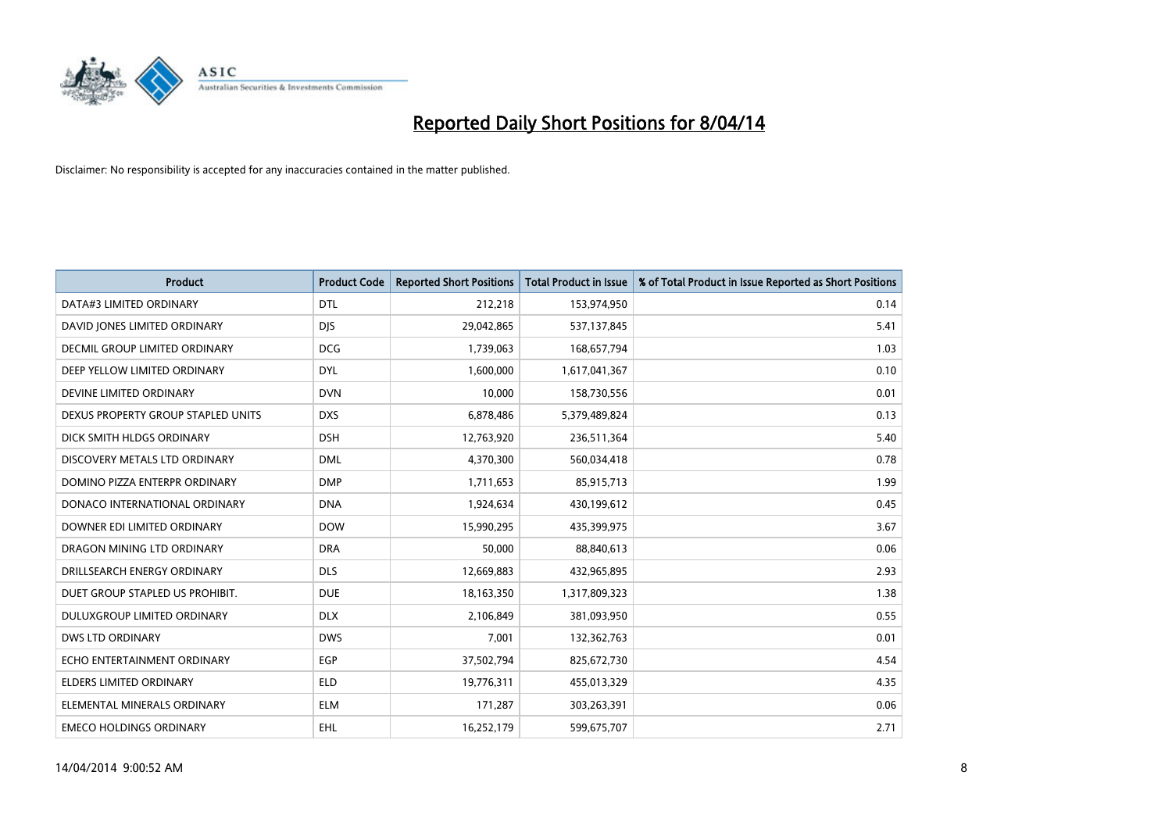

| <b>Product</b>                     | <b>Product Code</b> | <b>Reported Short Positions</b> | <b>Total Product in Issue</b> | % of Total Product in Issue Reported as Short Positions |
|------------------------------------|---------------------|---------------------------------|-------------------------------|---------------------------------------------------------|
| DATA#3 LIMITED ORDINARY            | <b>DTL</b>          | 212,218                         | 153,974,950                   | 0.14                                                    |
| DAVID JONES LIMITED ORDINARY       | <b>DIS</b>          | 29,042,865                      | 537,137,845                   | 5.41                                                    |
| DECMIL GROUP LIMITED ORDINARY      | <b>DCG</b>          | 1,739,063                       | 168,657,794                   | 1.03                                                    |
| DEEP YELLOW LIMITED ORDINARY       | <b>DYL</b>          | 1,600,000                       | 1,617,041,367                 | 0.10                                                    |
| DEVINE LIMITED ORDINARY            | <b>DVN</b>          | 10,000                          | 158,730,556                   | 0.01                                                    |
| DEXUS PROPERTY GROUP STAPLED UNITS | <b>DXS</b>          | 6,878,486                       | 5,379,489,824                 | 0.13                                                    |
| DICK SMITH HLDGS ORDINARY          | <b>DSH</b>          | 12,763,920                      | 236,511,364                   | 5.40                                                    |
| DISCOVERY METALS LTD ORDINARY      | <b>DML</b>          | 4,370,300                       | 560,034,418                   | 0.78                                                    |
| DOMINO PIZZA ENTERPR ORDINARY      | <b>DMP</b>          | 1,711,653                       | 85,915,713                    | 1.99                                                    |
| DONACO INTERNATIONAL ORDINARY      | <b>DNA</b>          | 1,924,634                       | 430,199,612                   | 0.45                                                    |
| DOWNER EDI LIMITED ORDINARY        | <b>DOW</b>          | 15,990,295                      | 435,399,975                   | 3.67                                                    |
| DRAGON MINING LTD ORDINARY         | <b>DRA</b>          | 50,000                          | 88,840,613                    | 0.06                                                    |
| DRILLSEARCH ENERGY ORDINARY        | <b>DLS</b>          | 12,669,883                      | 432,965,895                   | 2.93                                                    |
| DUET GROUP STAPLED US PROHIBIT.    | <b>DUE</b>          | 18,163,350                      | 1,317,809,323                 | 1.38                                                    |
| DULUXGROUP LIMITED ORDINARY        | <b>DLX</b>          | 2,106,849                       | 381,093,950                   | 0.55                                                    |
| <b>DWS LTD ORDINARY</b>            | <b>DWS</b>          | 7,001                           | 132,362,763                   | 0.01                                                    |
| ECHO ENTERTAINMENT ORDINARY        | EGP                 | 37,502,794                      | 825,672,730                   | 4.54                                                    |
| <b>ELDERS LIMITED ORDINARY</b>     | <b>ELD</b>          | 19,776,311                      | 455,013,329                   | 4.35                                                    |
| ELEMENTAL MINERALS ORDINARY        | <b>ELM</b>          | 171,287                         | 303,263,391                   | 0.06                                                    |
| <b>EMECO HOLDINGS ORDINARY</b>     | <b>EHL</b>          | 16,252,179                      | 599,675,707                   | 2.71                                                    |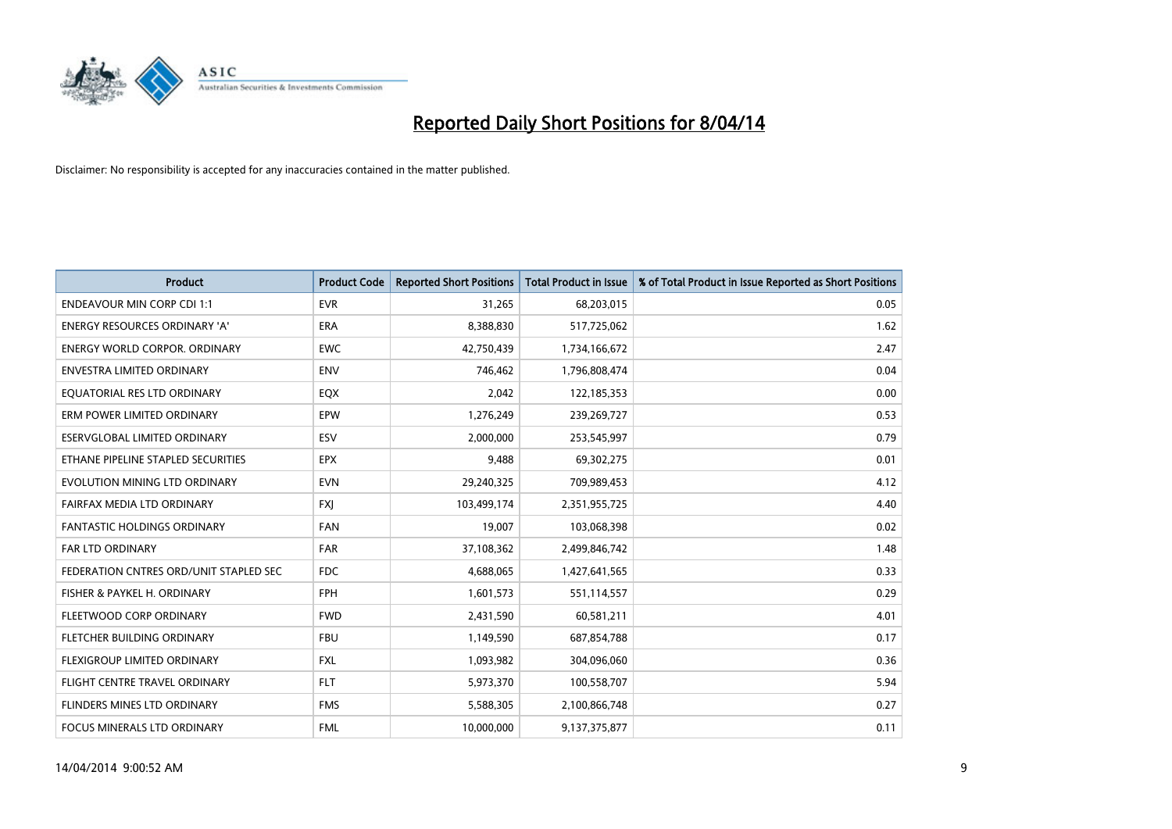

| <b>Product</b>                         | <b>Product Code</b> | <b>Reported Short Positions</b> | <b>Total Product in Issue</b> | % of Total Product in Issue Reported as Short Positions |
|----------------------------------------|---------------------|---------------------------------|-------------------------------|---------------------------------------------------------|
| <b>ENDEAVOUR MIN CORP CDI 1:1</b>      | <b>EVR</b>          | 31,265                          | 68,203,015                    | 0.05                                                    |
| ENERGY RESOURCES ORDINARY 'A'          | ERA                 | 8,388,830                       | 517,725,062                   | 1.62                                                    |
| <b>ENERGY WORLD CORPOR, ORDINARY</b>   | <b>EWC</b>          | 42,750,439                      | 1,734,166,672                 | 2.47                                                    |
| ENVESTRA LIMITED ORDINARY              | <b>ENV</b>          | 746,462                         | 1,796,808,474                 | 0.04                                                    |
| EQUATORIAL RES LTD ORDINARY            | EQX                 | 2,042                           | 122,185,353                   | 0.00                                                    |
| ERM POWER LIMITED ORDINARY             | EPW                 | 1,276,249                       | 239,269,727                   | 0.53                                                    |
| ESERVGLOBAL LIMITED ORDINARY           | ESV                 | 2,000,000                       | 253,545,997                   | 0.79                                                    |
| ETHANE PIPELINE STAPLED SECURITIES     | <b>EPX</b>          | 9,488                           | 69,302,275                    | 0.01                                                    |
| EVOLUTION MINING LTD ORDINARY          | <b>EVN</b>          | 29,240,325                      | 709,989,453                   | 4.12                                                    |
| FAIRFAX MEDIA LTD ORDINARY             | <b>FXI</b>          | 103,499,174                     | 2,351,955,725                 | 4.40                                                    |
| FANTASTIC HOLDINGS ORDINARY            | FAN                 | 19,007                          | 103,068,398                   | 0.02                                                    |
| <b>FAR LTD ORDINARY</b>                | <b>FAR</b>          | 37,108,362                      | 2,499,846,742                 | 1.48                                                    |
| FEDERATION CNTRES ORD/UNIT STAPLED SEC | FDC                 | 4,688,065                       | 1,427,641,565                 | 0.33                                                    |
| FISHER & PAYKEL H. ORDINARY            | FPH                 | 1,601,573                       | 551,114,557                   | 0.29                                                    |
| FLEETWOOD CORP ORDINARY                | <b>FWD</b>          | 2,431,590                       | 60,581,211                    | 4.01                                                    |
| FLETCHER BUILDING ORDINARY             | <b>FBU</b>          | 1,149,590                       | 687,854,788                   | 0.17                                                    |
| FLEXIGROUP LIMITED ORDINARY            | <b>FXL</b>          | 1,093,982                       | 304,096,060                   | 0.36                                                    |
| FLIGHT CENTRE TRAVEL ORDINARY          | <b>FLT</b>          | 5,973,370                       | 100,558,707                   | 5.94                                                    |
| FLINDERS MINES LTD ORDINARY            | <b>FMS</b>          | 5,588,305                       | 2,100,866,748                 | 0.27                                                    |
| FOCUS MINERALS LTD ORDINARY            | <b>FML</b>          | 10,000,000                      | 9,137,375,877                 | 0.11                                                    |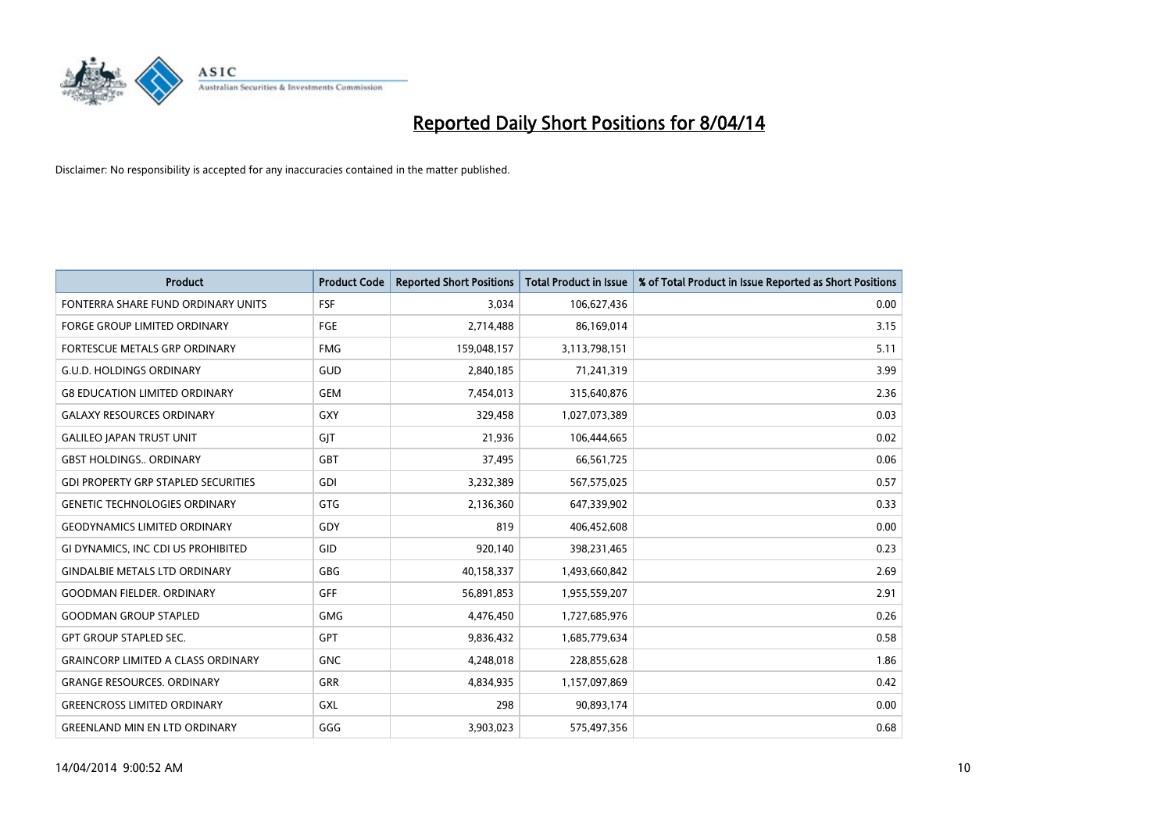

| <b>Product</b>                             | <b>Product Code</b> | <b>Reported Short Positions</b> | <b>Total Product in Issue</b> | % of Total Product in Issue Reported as Short Positions |
|--------------------------------------------|---------------------|---------------------------------|-------------------------------|---------------------------------------------------------|
| FONTERRA SHARE FUND ORDINARY UNITS         | <b>FSF</b>          | 3,034                           | 106,627,436                   | 0.00                                                    |
| FORGE GROUP LIMITED ORDINARY               | FGE                 | 2,714,488                       | 86,169,014                    | 3.15                                                    |
| <b>FORTESCUE METALS GRP ORDINARY</b>       | <b>FMG</b>          | 159,048,157                     | 3,113,798,151                 | 5.11                                                    |
| <b>G.U.D. HOLDINGS ORDINARY</b>            | GUD                 | 2,840,185                       | 71,241,319                    | 3.99                                                    |
| <b>G8 EDUCATION LIMITED ORDINARY</b>       | <b>GEM</b>          | 7,454,013                       | 315,640,876                   | 2.36                                                    |
| <b>GALAXY RESOURCES ORDINARY</b>           | <b>GXY</b>          | 329,458                         | 1,027,073,389                 | 0.03                                                    |
| <b>GALILEO JAPAN TRUST UNIT</b>            | GIT                 | 21,936                          | 106,444,665                   | 0.02                                                    |
| <b>GBST HOLDINGS ORDINARY</b>              | <b>GBT</b>          | 37,495                          | 66,561,725                    | 0.06                                                    |
| <b>GDI PROPERTY GRP STAPLED SECURITIES</b> | GDI                 | 3,232,389                       | 567,575,025                   | 0.57                                                    |
| <b>GENETIC TECHNOLOGIES ORDINARY</b>       | <b>GTG</b>          | 2,136,360                       | 647,339,902                   | 0.33                                                    |
| <b>GEODYNAMICS LIMITED ORDINARY</b>        | GDY                 | 819                             | 406,452,608                   | 0.00                                                    |
| GI DYNAMICS, INC CDI US PROHIBITED         | GID                 | 920,140                         | 398,231,465                   | 0.23                                                    |
| <b>GINDALBIE METALS LTD ORDINARY</b>       | <b>GBG</b>          | 40,158,337                      | 1,493,660,842                 | 2.69                                                    |
| <b>GOODMAN FIELDER, ORDINARY</b>           | GFF                 | 56,891,853                      | 1,955,559,207                 | 2.91                                                    |
| <b>GOODMAN GROUP STAPLED</b>               | <b>GMG</b>          | 4,476,450                       | 1,727,685,976                 | 0.26                                                    |
| <b>GPT GROUP STAPLED SEC.</b>              | GPT                 | 9,836,432                       | 1,685,779,634                 | 0.58                                                    |
| <b>GRAINCORP LIMITED A CLASS ORDINARY</b>  | <b>GNC</b>          | 4,248,018                       | 228,855,628                   | 1.86                                                    |
| <b>GRANGE RESOURCES. ORDINARY</b>          | <b>GRR</b>          | 4,834,935                       | 1,157,097,869                 | 0.42                                                    |
| <b>GREENCROSS LIMITED ORDINARY</b>         | <b>GXL</b>          | 298                             | 90,893,174                    | 0.00                                                    |
| <b>GREENLAND MIN EN LTD ORDINARY</b>       | GGG                 | 3,903,023                       | 575,497,356                   | 0.68                                                    |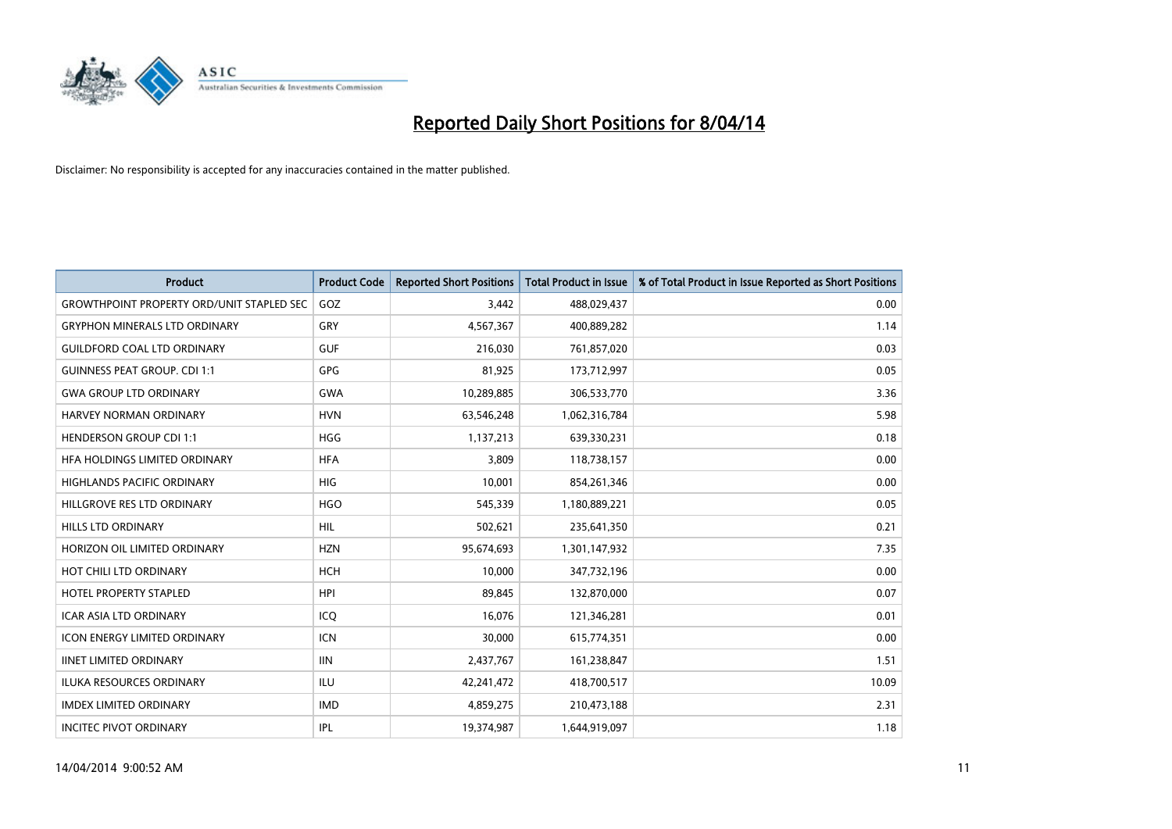

| <b>Product</b>                                   | <b>Product Code</b> | <b>Reported Short Positions</b> | <b>Total Product in Issue</b> | % of Total Product in Issue Reported as Short Positions |
|--------------------------------------------------|---------------------|---------------------------------|-------------------------------|---------------------------------------------------------|
| <b>GROWTHPOINT PROPERTY ORD/UNIT STAPLED SEC</b> | GOZ                 | 3,442                           | 488,029,437                   | 0.00                                                    |
| <b>GRYPHON MINERALS LTD ORDINARY</b>             | <b>GRY</b>          | 4,567,367                       | 400,889,282                   | 1.14                                                    |
| <b>GUILDFORD COAL LTD ORDINARY</b>               | <b>GUF</b>          | 216,030                         | 761,857,020                   | 0.03                                                    |
| <b>GUINNESS PEAT GROUP. CDI 1:1</b>              | GPG                 | 81,925                          | 173,712,997                   | 0.05                                                    |
| <b>GWA GROUP LTD ORDINARY</b>                    | <b>GWA</b>          | 10,289,885                      | 306,533,770                   | 3.36                                                    |
| HARVEY NORMAN ORDINARY                           | <b>HVN</b>          | 63,546,248                      | 1,062,316,784                 | 5.98                                                    |
| <b>HENDERSON GROUP CDI 1:1</b>                   | <b>HGG</b>          | 1,137,213                       | 639,330,231                   | 0.18                                                    |
| HFA HOLDINGS LIMITED ORDINARY                    | <b>HFA</b>          | 3,809                           | 118,738,157                   | 0.00                                                    |
| <b>HIGHLANDS PACIFIC ORDINARY</b>                | <b>HIG</b>          | 10,001                          | 854,261,346                   | 0.00                                                    |
| HILLGROVE RES LTD ORDINARY                       | <b>HGO</b>          | 545,339                         | 1,180,889,221                 | 0.05                                                    |
| HILLS LTD ORDINARY                               | <b>HIL</b>          | 502,621                         | 235,641,350                   | 0.21                                                    |
| HORIZON OIL LIMITED ORDINARY                     | <b>HZN</b>          | 95,674,693                      | 1,301,147,932                 | 7.35                                                    |
| HOT CHILI LTD ORDINARY                           | <b>HCH</b>          | 10,000                          | 347,732,196                   | 0.00                                                    |
| <b>HOTEL PROPERTY STAPLED</b>                    | <b>HPI</b>          | 89,845                          | 132,870,000                   | 0.07                                                    |
| <b>ICAR ASIA LTD ORDINARY</b>                    | ICQ                 | 16,076                          | 121,346,281                   | 0.01                                                    |
| <b>ICON ENERGY LIMITED ORDINARY</b>              | <b>ICN</b>          | 30,000                          | 615,774,351                   | 0.00                                                    |
| <b>IINET LIMITED ORDINARY</b>                    | <b>IIN</b>          | 2,437,767                       | 161,238,847                   | 1.51                                                    |
| ILUKA RESOURCES ORDINARY                         | ILU                 | 42,241,472                      | 418,700,517                   | 10.09                                                   |
| <b>IMDEX LIMITED ORDINARY</b>                    | <b>IMD</b>          | 4,859,275                       | 210,473,188                   | 2.31                                                    |
| <b>INCITEC PIVOT ORDINARY</b>                    | <b>IPL</b>          | 19,374,987                      | 1,644,919,097                 | 1.18                                                    |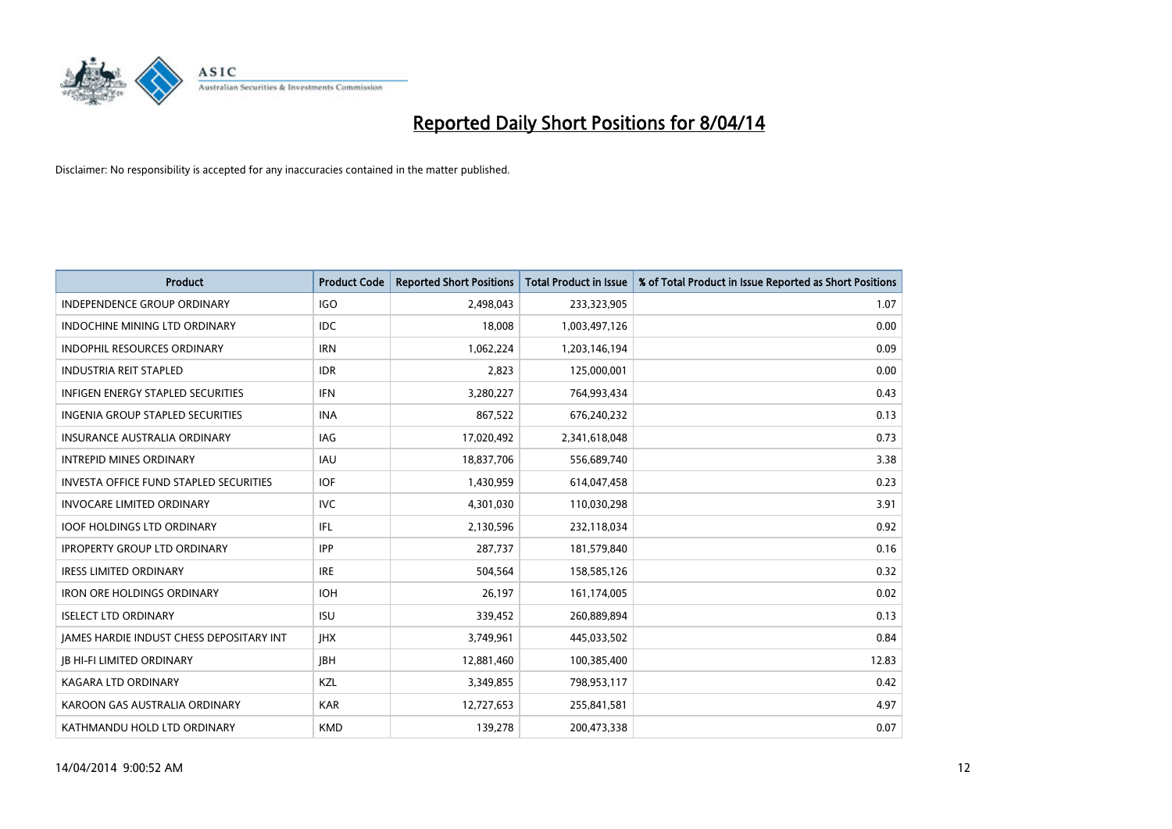

| <b>Product</b>                                | <b>Product Code</b> | <b>Reported Short Positions</b> | <b>Total Product in Issue</b> | % of Total Product in Issue Reported as Short Positions |
|-----------------------------------------------|---------------------|---------------------------------|-------------------------------|---------------------------------------------------------|
| <b>INDEPENDENCE GROUP ORDINARY</b>            | <b>IGO</b>          | 2,498,043                       | 233,323,905                   | 1.07                                                    |
| INDOCHINE MINING LTD ORDINARY                 | IDC                 | 18,008                          | 1,003,497,126                 | 0.00                                                    |
| <b>INDOPHIL RESOURCES ORDINARY</b>            | <b>IRN</b>          | 1,062,224                       | 1,203,146,194                 | 0.09                                                    |
| <b>INDUSTRIA REIT STAPLED</b>                 | <b>IDR</b>          | 2,823                           | 125,000,001                   | 0.00                                                    |
| <b>INFIGEN ENERGY STAPLED SECURITIES</b>      | <b>IFN</b>          | 3,280,227                       | 764,993,434                   | 0.43                                                    |
| INGENIA GROUP STAPLED SECURITIES              | <b>INA</b>          | 867,522                         | 676,240,232                   | 0.13                                                    |
| <b>INSURANCE AUSTRALIA ORDINARY</b>           | IAG                 | 17,020,492                      | 2,341,618,048                 | 0.73                                                    |
| <b>INTREPID MINES ORDINARY</b>                | <b>IAU</b>          | 18,837,706                      | 556,689,740                   | 3.38                                                    |
| <b>INVESTA OFFICE FUND STAPLED SECURITIES</b> | <b>IOF</b>          | 1,430,959                       | 614,047,458                   | 0.23                                                    |
| <b>INVOCARE LIMITED ORDINARY</b>              | <b>IVC</b>          | 4,301,030                       | 110,030,298                   | 3.91                                                    |
| <b>IOOF HOLDINGS LTD ORDINARY</b>             | IFL                 | 2,130,596                       | 232,118,034                   | 0.92                                                    |
| <b>IPROPERTY GROUP LTD ORDINARY</b>           | <b>IPP</b>          | 287,737                         | 181,579,840                   | 0.16                                                    |
| <b>IRESS LIMITED ORDINARY</b>                 | <b>IRE</b>          | 504,564                         | 158,585,126                   | 0.32                                                    |
| <b>IRON ORE HOLDINGS ORDINARY</b>             | <b>IOH</b>          | 26,197                          | 161,174,005                   | 0.02                                                    |
| <b>ISELECT LTD ORDINARY</b>                   | <b>ISU</b>          | 339,452                         | 260,889,894                   | 0.13                                                    |
| JAMES HARDIE INDUST CHESS DEPOSITARY INT      | <b>IHX</b>          | 3,749,961                       | 445,033,502                   | 0.84                                                    |
| <b>JB HI-FI LIMITED ORDINARY</b>              | <b>IBH</b>          | 12,881,460                      | 100,385,400                   | 12.83                                                   |
| <b>KAGARA LTD ORDINARY</b>                    | KZL                 | 3,349,855                       | 798,953,117                   | 0.42                                                    |
| KAROON GAS AUSTRALIA ORDINARY                 | <b>KAR</b>          | 12,727,653                      | 255,841,581                   | 4.97                                                    |
| KATHMANDU HOLD LTD ORDINARY                   | <b>KMD</b>          | 139,278                         | 200,473,338                   | 0.07                                                    |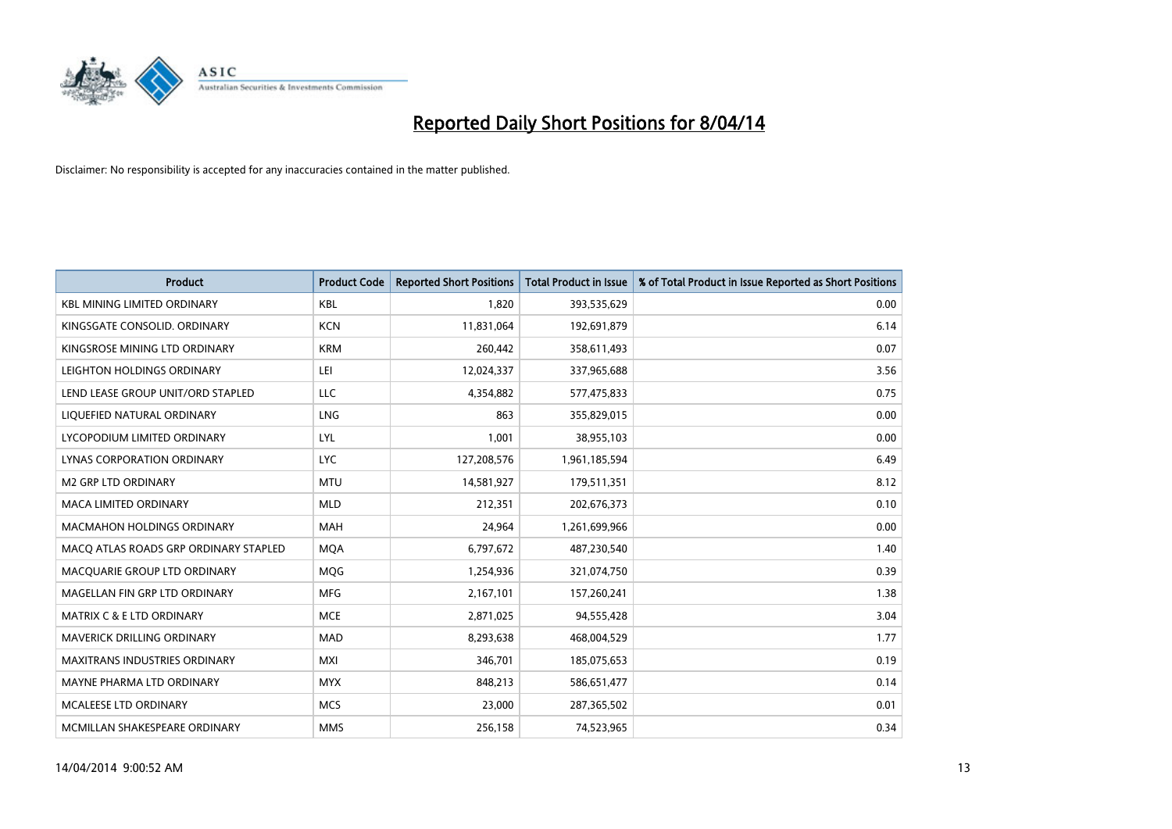

| <b>Product</b>                        | <b>Product Code</b> | <b>Reported Short Positions</b> | <b>Total Product in Issue</b> | % of Total Product in Issue Reported as Short Positions |
|---------------------------------------|---------------------|---------------------------------|-------------------------------|---------------------------------------------------------|
| <b>KBL MINING LIMITED ORDINARY</b>    | <b>KBL</b>          | 1,820                           | 393,535,629                   | 0.00                                                    |
| KINGSGATE CONSOLID. ORDINARY          | <b>KCN</b>          | 11,831,064                      | 192,691,879                   | 6.14                                                    |
| KINGSROSE MINING LTD ORDINARY         | <b>KRM</b>          | 260,442                         | 358,611,493                   | 0.07                                                    |
| LEIGHTON HOLDINGS ORDINARY            | LEI                 | 12,024,337                      | 337,965,688                   | 3.56                                                    |
| LEND LEASE GROUP UNIT/ORD STAPLED     | LLC                 | 4,354,882                       | 577,475,833                   | 0.75                                                    |
| LIQUEFIED NATURAL ORDINARY            | <b>LNG</b>          | 863                             | 355,829,015                   | 0.00                                                    |
| LYCOPODIUM LIMITED ORDINARY           | <b>LYL</b>          | 1,001                           | 38,955,103                    | 0.00                                                    |
| LYNAS CORPORATION ORDINARY            | <b>LYC</b>          | 127,208,576                     | 1,961,185,594                 | 6.49                                                    |
| <b>M2 GRP LTD ORDINARY</b>            | <b>MTU</b>          | 14,581,927                      | 179,511,351                   | 8.12                                                    |
| <b>MACA LIMITED ORDINARY</b>          | <b>MLD</b>          | 212,351                         | 202,676,373                   | 0.10                                                    |
| MACMAHON HOLDINGS ORDINARY            | MAH                 | 24,964                          | 1,261,699,966                 | 0.00                                                    |
| MACO ATLAS ROADS GRP ORDINARY STAPLED | <b>MQA</b>          | 6,797,672                       | 487,230,540                   | 1.40                                                    |
| MACQUARIE GROUP LTD ORDINARY          | <b>MOG</b>          | 1,254,936                       | 321,074,750                   | 0.39                                                    |
| MAGELLAN FIN GRP LTD ORDINARY         | <b>MFG</b>          | 2,167,101                       | 157,260,241                   | 1.38                                                    |
| <b>MATRIX C &amp; E LTD ORDINARY</b>  | <b>MCE</b>          | 2,871,025                       | 94,555,428                    | 3.04                                                    |
| MAVERICK DRILLING ORDINARY            | MAD                 | 8,293,638                       | 468,004,529                   | 1.77                                                    |
| MAXITRANS INDUSTRIES ORDINARY         | <b>MXI</b>          | 346,701                         | 185,075,653                   | 0.19                                                    |
| MAYNE PHARMA LTD ORDINARY             | <b>MYX</b>          | 848,213                         | 586,651,477                   | 0.14                                                    |
| <b>MCALEESE LTD ORDINARY</b>          | <b>MCS</b>          | 23,000                          | 287,365,502                   | 0.01                                                    |
| MCMILLAN SHAKESPEARE ORDINARY         | <b>MMS</b>          | 256,158                         | 74,523,965                    | 0.34                                                    |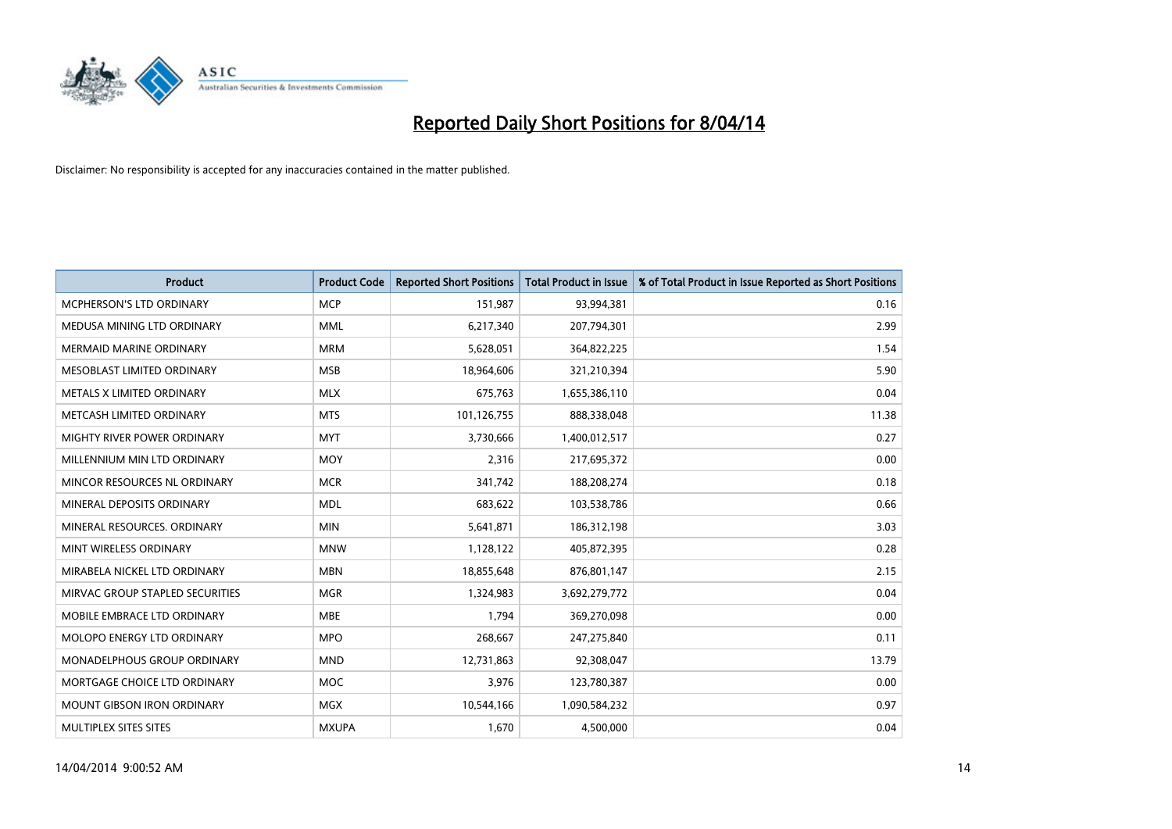

| <b>Product</b>                    | <b>Product Code</b> | <b>Reported Short Positions</b> | <b>Total Product in Issue</b> | % of Total Product in Issue Reported as Short Positions |
|-----------------------------------|---------------------|---------------------------------|-------------------------------|---------------------------------------------------------|
| MCPHERSON'S LTD ORDINARY          | <b>MCP</b>          | 151,987                         | 93,994,381                    | 0.16                                                    |
| MEDUSA MINING LTD ORDINARY        | <b>MML</b>          | 6,217,340                       | 207,794,301                   | 2.99                                                    |
| <b>MERMAID MARINE ORDINARY</b>    | <b>MRM</b>          | 5,628,051                       | 364,822,225                   | 1.54                                                    |
| MESOBLAST LIMITED ORDINARY        | <b>MSB</b>          | 18,964,606                      | 321,210,394                   | 5.90                                                    |
| METALS X LIMITED ORDINARY         | <b>MLX</b>          | 675,763                         | 1,655,386,110                 | 0.04                                                    |
| METCASH LIMITED ORDINARY          | <b>MTS</b>          | 101,126,755                     | 888,338,048                   | 11.38                                                   |
| MIGHTY RIVER POWER ORDINARY       | <b>MYT</b>          | 3,730,666                       | 1,400,012,517                 | 0.27                                                    |
| MILLENNIUM MIN LTD ORDINARY       | <b>MOY</b>          | 2,316                           | 217,695,372                   | 0.00                                                    |
| MINCOR RESOURCES NL ORDINARY      | <b>MCR</b>          | 341,742                         | 188,208,274                   | 0.18                                                    |
| MINERAL DEPOSITS ORDINARY         | <b>MDL</b>          | 683,622                         | 103,538,786                   | 0.66                                                    |
| MINERAL RESOURCES. ORDINARY       | <b>MIN</b>          | 5,641,871                       | 186,312,198                   | 3.03                                                    |
| MINT WIRELESS ORDINARY            | <b>MNW</b>          | 1,128,122                       | 405,872,395                   | 0.28                                                    |
| MIRABELA NICKEL LTD ORDINARY      | <b>MBN</b>          | 18,855,648                      | 876,801,147                   | 2.15                                                    |
| MIRVAC GROUP STAPLED SECURITIES   | <b>MGR</b>          | 1,324,983                       | 3,692,279,772                 | 0.04                                                    |
| MOBILE EMBRACE LTD ORDINARY       | <b>MBE</b>          | 1,794                           | 369,270,098                   | 0.00                                                    |
| MOLOPO ENERGY LTD ORDINARY        | <b>MPO</b>          | 268,667                         | 247,275,840                   | 0.11                                                    |
| MONADELPHOUS GROUP ORDINARY       | <b>MND</b>          | 12,731,863                      | 92,308,047                    | 13.79                                                   |
| MORTGAGE CHOICE LTD ORDINARY      | <b>MOC</b>          | 3,976                           | 123,780,387                   | 0.00                                                    |
| <b>MOUNT GIBSON IRON ORDINARY</b> | <b>MGX</b>          | 10,544,166                      | 1,090,584,232                 | 0.97                                                    |
| MULTIPLEX SITES SITES             | <b>MXUPA</b>        | 1,670                           | 4,500,000                     | 0.04                                                    |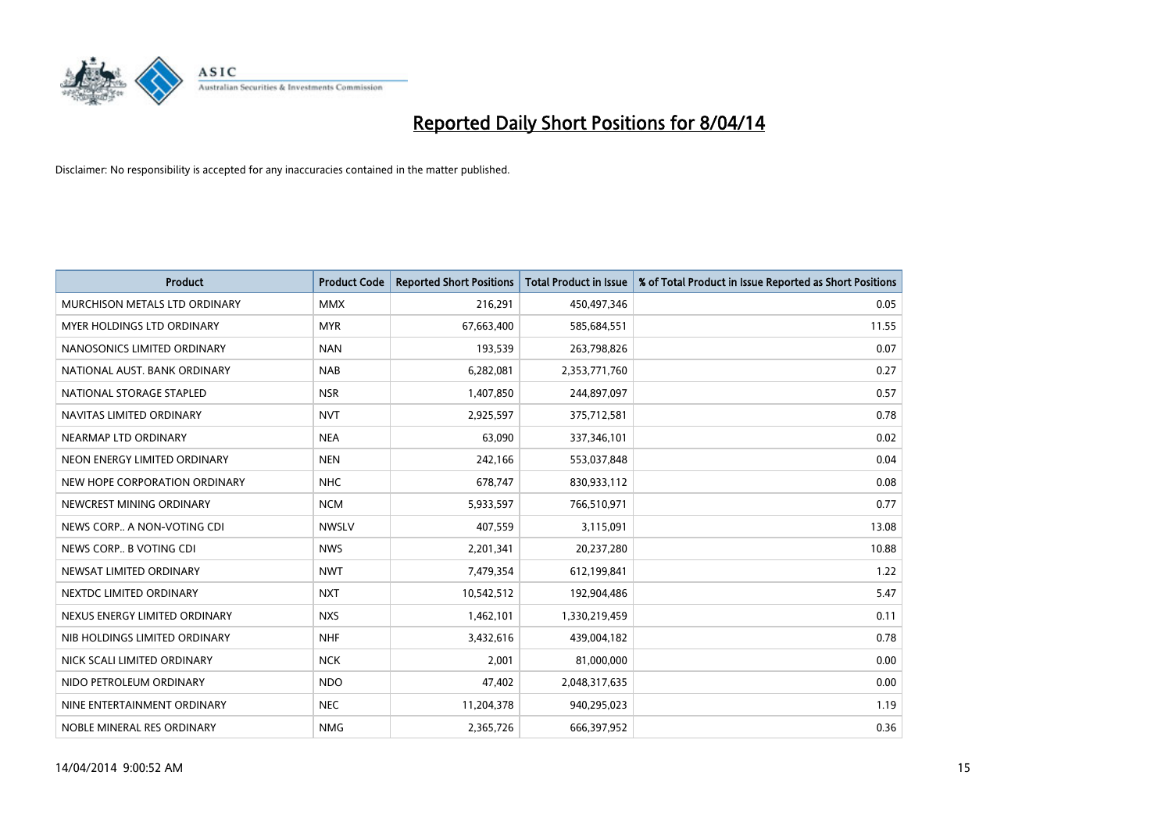

| <b>Product</b>                | <b>Product Code</b> | <b>Reported Short Positions</b> | <b>Total Product in Issue</b> | % of Total Product in Issue Reported as Short Positions |
|-------------------------------|---------------------|---------------------------------|-------------------------------|---------------------------------------------------------|
| MURCHISON METALS LTD ORDINARY | <b>MMX</b>          | 216,291                         | 450,497,346                   | 0.05                                                    |
| MYER HOLDINGS LTD ORDINARY    | <b>MYR</b>          | 67,663,400                      | 585,684,551                   | 11.55                                                   |
| NANOSONICS LIMITED ORDINARY   | <b>NAN</b>          | 193,539                         | 263,798,826                   | 0.07                                                    |
| NATIONAL AUST, BANK ORDINARY  | <b>NAB</b>          | 6,282,081                       | 2,353,771,760                 | 0.27                                                    |
| NATIONAL STORAGE STAPLED      | <b>NSR</b>          | 1,407,850                       | 244,897,097                   | 0.57                                                    |
| NAVITAS LIMITED ORDINARY      | <b>NVT</b>          | 2,925,597                       | 375,712,581                   | 0.78                                                    |
| NEARMAP LTD ORDINARY          | <b>NEA</b>          | 63,090                          | 337,346,101                   | 0.02                                                    |
| NEON ENERGY LIMITED ORDINARY  | <b>NEN</b>          | 242,166                         | 553,037,848                   | 0.04                                                    |
| NEW HOPE CORPORATION ORDINARY | <b>NHC</b>          | 678,747                         | 830,933,112                   | 0.08                                                    |
| NEWCREST MINING ORDINARY      | <b>NCM</b>          | 5,933,597                       | 766,510,971                   | 0.77                                                    |
| NEWS CORP A NON-VOTING CDI    | <b>NWSLV</b>        | 407,559                         | 3,115,091                     | 13.08                                                   |
| NEWS CORP B VOTING CDI        | <b>NWS</b>          | 2,201,341                       | 20,237,280                    | 10.88                                                   |
| NEWSAT LIMITED ORDINARY       | <b>NWT</b>          | 7,479,354                       | 612,199,841                   | 1.22                                                    |
| NEXTDC LIMITED ORDINARY       | <b>NXT</b>          | 10,542,512                      | 192,904,486                   | 5.47                                                    |
| NEXUS ENERGY LIMITED ORDINARY | <b>NXS</b>          | 1,462,101                       | 1,330,219,459                 | 0.11                                                    |
| NIB HOLDINGS LIMITED ORDINARY | <b>NHF</b>          | 3,432,616                       | 439,004,182                   | 0.78                                                    |
| NICK SCALI LIMITED ORDINARY   | <b>NCK</b>          | 2,001                           | 81,000,000                    | 0.00                                                    |
| NIDO PETROLEUM ORDINARY       | <b>NDO</b>          | 47,402                          | 2,048,317,635                 | 0.00                                                    |
| NINE ENTERTAINMENT ORDINARY   | <b>NEC</b>          | 11,204,378                      | 940,295,023                   | 1.19                                                    |
| NOBLE MINERAL RES ORDINARY    | <b>NMG</b>          | 2,365,726                       | 666,397,952                   | 0.36                                                    |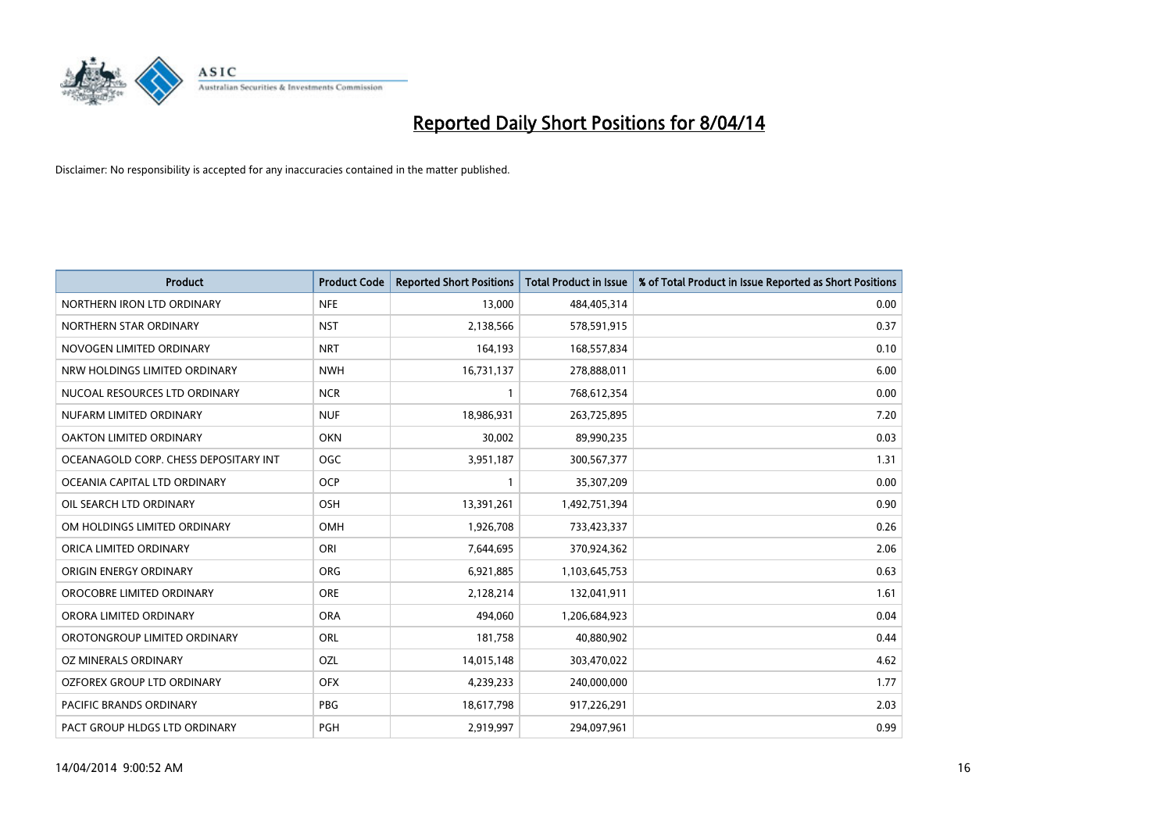

| <b>Product</b>                        | <b>Product Code</b> | <b>Reported Short Positions</b> | <b>Total Product in Issue</b> | % of Total Product in Issue Reported as Short Positions |
|---------------------------------------|---------------------|---------------------------------|-------------------------------|---------------------------------------------------------|
| NORTHERN IRON LTD ORDINARY            | <b>NFE</b>          | 13,000                          | 484,405,314                   | 0.00                                                    |
| NORTHERN STAR ORDINARY                | <b>NST</b>          | 2,138,566                       | 578,591,915                   | 0.37                                                    |
| NOVOGEN LIMITED ORDINARY              | <b>NRT</b>          | 164,193                         | 168,557,834                   | 0.10                                                    |
| NRW HOLDINGS LIMITED ORDINARY         | <b>NWH</b>          | 16,731,137                      | 278,888,011                   | 6.00                                                    |
| NUCOAL RESOURCES LTD ORDINARY         | <b>NCR</b>          | 1                               | 768,612,354                   | 0.00                                                    |
| NUFARM LIMITED ORDINARY               | <b>NUF</b>          | 18,986,931                      | 263,725,895                   | 7.20                                                    |
| <b>OAKTON LIMITED ORDINARY</b>        | <b>OKN</b>          | 30,002                          | 89,990,235                    | 0.03                                                    |
| OCEANAGOLD CORP. CHESS DEPOSITARY INT | <b>OGC</b>          | 3,951,187                       | 300,567,377                   | 1.31                                                    |
| OCEANIA CAPITAL LTD ORDINARY          | <b>OCP</b>          | 1                               | 35,307,209                    | 0.00                                                    |
| OIL SEARCH LTD ORDINARY               | OSH                 | 13,391,261                      | 1,492,751,394                 | 0.90                                                    |
| OM HOLDINGS LIMITED ORDINARY          | OMH                 | 1,926,708                       | 733,423,337                   | 0.26                                                    |
| ORICA LIMITED ORDINARY                | ORI                 | 7,644,695                       | 370,924,362                   | 2.06                                                    |
| ORIGIN ENERGY ORDINARY                | <b>ORG</b>          | 6,921,885                       | 1,103,645,753                 | 0.63                                                    |
| OROCOBRE LIMITED ORDINARY             | <b>ORE</b>          | 2,128,214                       | 132,041,911                   | 1.61                                                    |
| ORORA LIMITED ORDINARY                | <b>ORA</b>          | 494.060                         | 1,206,684,923                 | 0.04                                                    |
| OROTONGROUP LIMITED ORDINARY          | ORL                 | 181,758                         | 40,880,902                    | 0.44                                                    |
| OZ MINERALS ORDINARY                  | OZL                 | 14,015,148                      | 303,470,022                   | 4.62                                                    |
| OZFOREX GROUP LTD ORDINARY            | <b>OFX</b>          | 4,239,233                       | 240,000,000                   | 1.77                                                    |
| <b>PACIFIC BRANDS ORDINARY</b>        | <b>PBG</b>          | 18,617,798                      | 917,226,291                   | 2.03                                                    |
| PACT GROUP HLDGS LTD ORDINARY         | PGH                 | 2,919,997                       | 294,097,961                   | 0.99                                                    |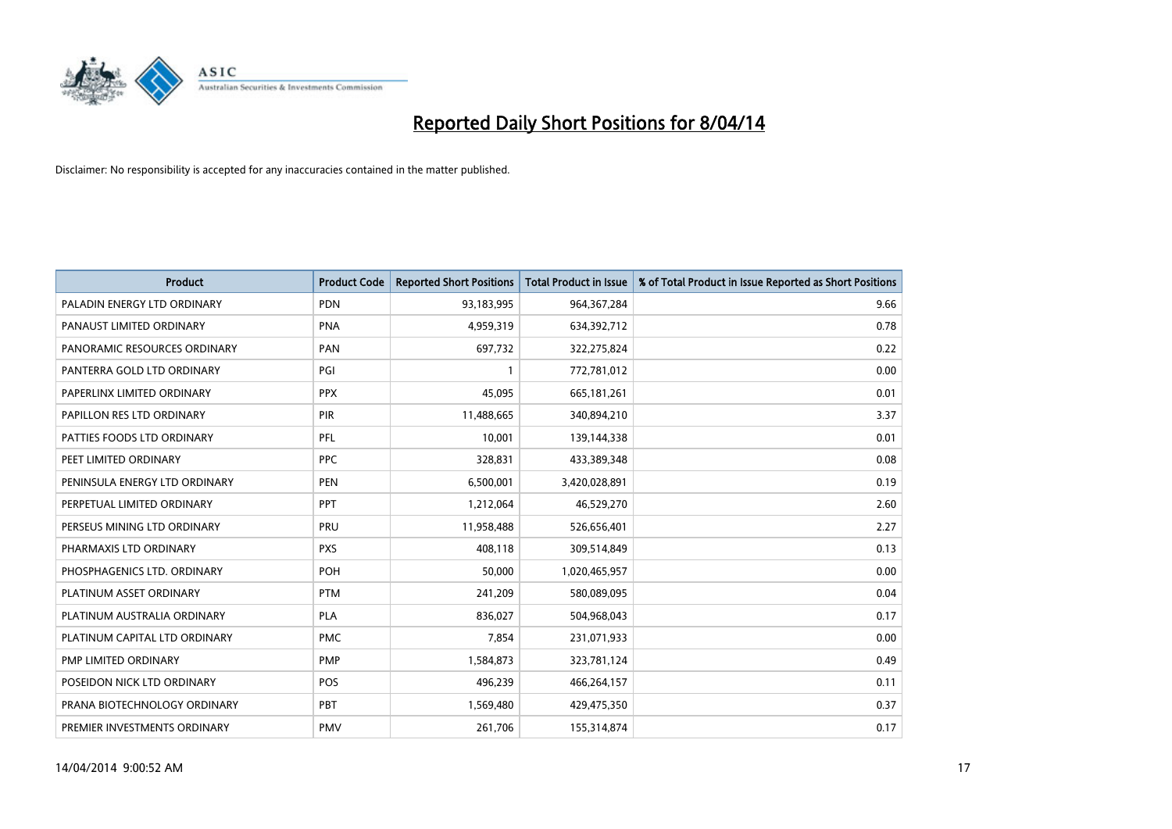

| <b>Product</b>                | <b>Product Code</b> | <b>Reported Short Positions</b> | <b>Total Product in Issue</b> | % of Total Product in Issue Reported as Short Positions |
|-------------------------------|---------------------|---------------------------------|-------------------------------|---------------------------------------------------------|
| PALADIN ENERGY LTD ORDINARY   | PDN                 | 93,183,995                      | 964, 367, 284                 | 9.66                                                    |
| PANAUST LIMITED ORDINARY      | <b>PNA</b>          | 4,959,319                       | 634,392,712                   | 0.78                                                    |
| PANORAMIC RESOURCES ORDINARY  | PAN                 | 697,732                         | 322,275,824                   | 0.22                                                    |
| PANTERRA GOLD LTD ORDINARY    | PGI                 |                                 | 772,781,012                   | 0.00                                                    |
| PAPERLINX LIMITED ORDINARY    | <b>PPX</b>          | 45,095                          | 665,181,261                   | 0.01                                                    |
| PAPILLON RES LTD ORDINARY     | PIR                 | 11,488,665                      | 340,894,210                   | 3.37                                                    |
| PATTIES FOODS LTD ORDINARY    | PFL                 | 10,001                          | 139,144,338                   | 0.01                                                    |
| PEET LIMITED ORDINARY         | <b>PPC</b>          | 328,831                         | 433,389,348                   | 0.08                                                    |
| PENINSULA ENERGY LTD ORDINARY | <b>PEN</b>          | 6,500,001                       | 3,420,028,891                 | 0.19                                                    |
| PERPETUAL LIMITED ORDINARY    | PPT                 | 1,212,064                       | 46,529,270                    | 2.60                                                    |
| PERSEUS MINING LTD ORDINARY   | PRU                 | 11,958,488                      | 526,656,401                   | 2.27                                                    |
| PHARMAXIS LTD ORDINARY        | <b>PXS</b>          | 408,118                         | 309,514,849                   | 0.13                                                    |
| PHOSPHAGENICS LTD. ORDINARY   | <b>POH</b>          | 50,000                          | 1,020,465,957                 | 0.00                                                    |
| PLATINUM ASSET ORDINARY       | <b>PTM</b>          | 241,209                         | 580,089,095                   | 0.04                                                    |
| PLATINUM AUSTRALIA ORDINARY   | <b>PLA</b>          | 836,027                         | 504,968,043                   | 0.17                                                    |
| PLATINUM CAPITAL LTD ORDINARY | <b>PMC</b>          | 7,854                           | 231,071,933                   | 0.00                                                    |
| PMP LIMITED ORDINARY          | <b>PMP</b>          | 1,584,873                       | 323,781,124                   | 0.49                                                    |
| POSEIDON NICK LTD ORDINARY    | <b>POS</b>          | 496,239                         | 466,264,157                   | 0.11                                                    |
| PRANA BIOTECHNOLOGY ORDINARY  | <b>PBT</b>          | 1,569,480                       | 429,475,350                   | 0.37                                                    |
| PREMIER INVESTMENTS ORDINARY  | <b>PMV</b>          | 261,706                         | 155,314,874                   | 0.17                                                    |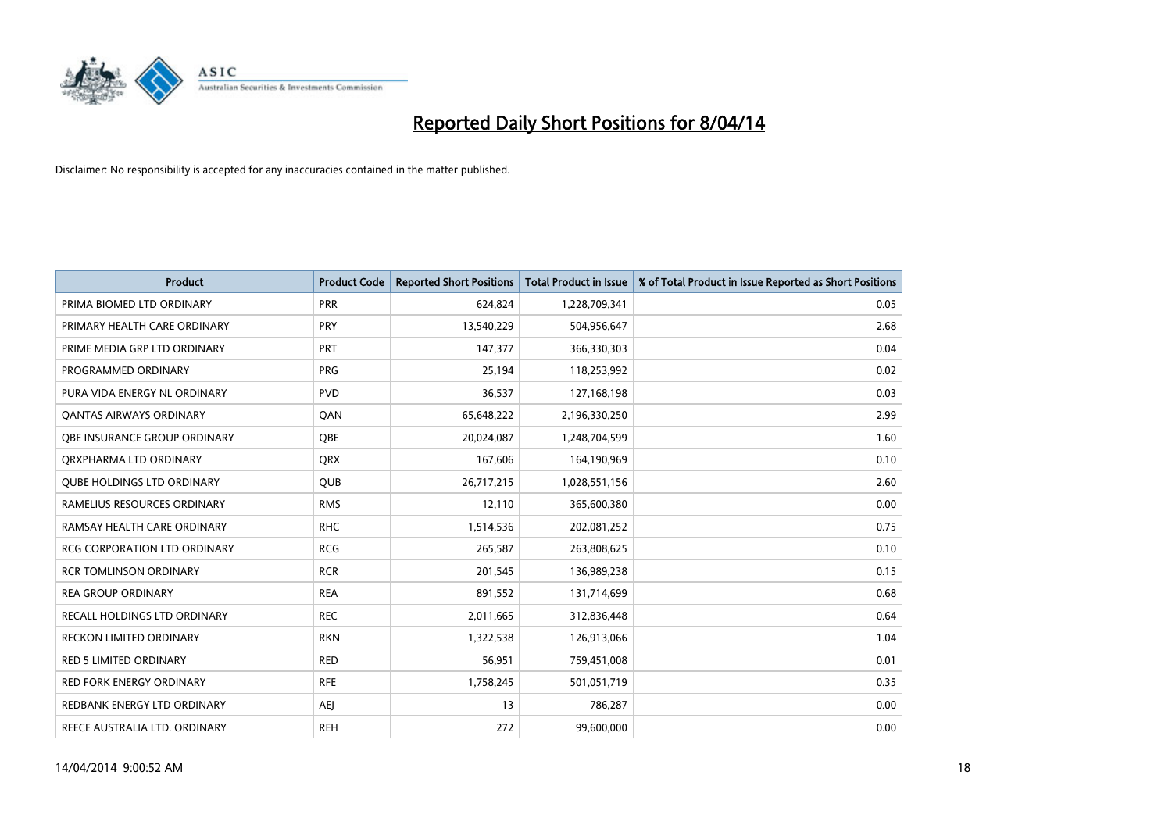

| <b>Product</b>                      | <b>Product Code</b> | <b>Reported Short Positions</b> | <b>Total Product in Issue</b> | % of Total Product in Issue Reported as Short Positions |
|-------------------------------------|---------------------|---------------------------------|-------------------------------|---------------------------------------------------------|
| PRIMA BIOMED LTD ORDINARY           | <b>PRR</b>          | 624,824                         | 1,228,709,341                 | 0.05                                                    |
| PRIMARY HEALTH CARE ORDINARY        | <b>PRY</b>          | 13,540,229                      | 504,956,647                   | 2.68                                                    |
| PRIME MEDIA GRP LTD ORDINARY        | <b>PRT</b>          | 147,377                         | 366,330,303                   | 0.04                                                    |
| PROGRAMMED ORDINARY                 | <b>PRG</b>          | 25,194                          | 118,253,992                   | 0.02                                                    |
| PURA VIDA ENERGY NL ORDINARY        | <b>PVD</b>          | 36,537                          | 127,168,198                   | 0.03                                                    |
| <b>QANTAS AIRWAYS ORDINARY</b>      | QAN                 | 65,648,222                      | 2,196,330,250                 | 2.99                                                    |
| OBE INSURANCE GROUP ORDINARY        | <b>OBE</b>          | 20,024,087                      | 1,248,704,599                 | 1.60                                                    |
| ORXPHARMA LTD ORDINARY              | <b>QRX</b>          | 167,606                         | 164,190,969                   | 0.10                                                    |
| <b>QUBE HOLDINGS LTD ORDINARY</b>   | <b>QUB</b>          | 26,717,215                      | 1,028,551,156                 | 2.60                                                    |
| RAMELIUS RESOURCES ORDINARY         | <b>RMS</b>          | 12,110                          | 365,600,380                   | 0.00                                                    |
| RAMSAY HEALTH CARE ORDINARY         | <b>RHC</b>          | 1,514,536                       | 202,081,252                   | 0.75                                                    |
| <b>RCG CORPORATION LTD ORDINARY</b> | <b>RCG</b>          | 265,587                         | 263,808,625                   | 0.10                                                    |
| <b>RCR TOMLINSON ORDINARY</b>       | <b>RCR</b>          | 201,545                         | 136,989,238                   | 0.15                                                    |
| <b>REA GROUP ORDINARY</b>           | <b>REA</b>          | 891,552                         | 131,714,699                   | 0.68                                                    |
| RECALL HOLDINGS LTD ORDINARY        | <b>REC</b>          | 2,011,665                       | 312,836,448                   | 0.64                                                    |
| RECKON LIMITED ORDINARY             | <b>RKN</b>          | 1,322,538                       | 126,913,066                   | 1.04                                                    |
| RED 5 LIMITED ORDINARY              | <b>RED</b>          | 56,951                          | 759,451,008                   | 0.01                                                    |
| <b>RED FORK ENERGY ORDINARY</b>     | <b>RFE</b>          | 1,758,245                       | 501,051,719                   | 0.35                                                    |
| REDBANK ENERGY LTD ORDINARY         | <b>AEI</b>          | 13                              | 786,287                       | 0.00                                                    |
| REECE AUSTRALIA LTD. ORDINARY       | <b>REH</b>          | 272                             | 99,600,000                    | 0.00                                                    |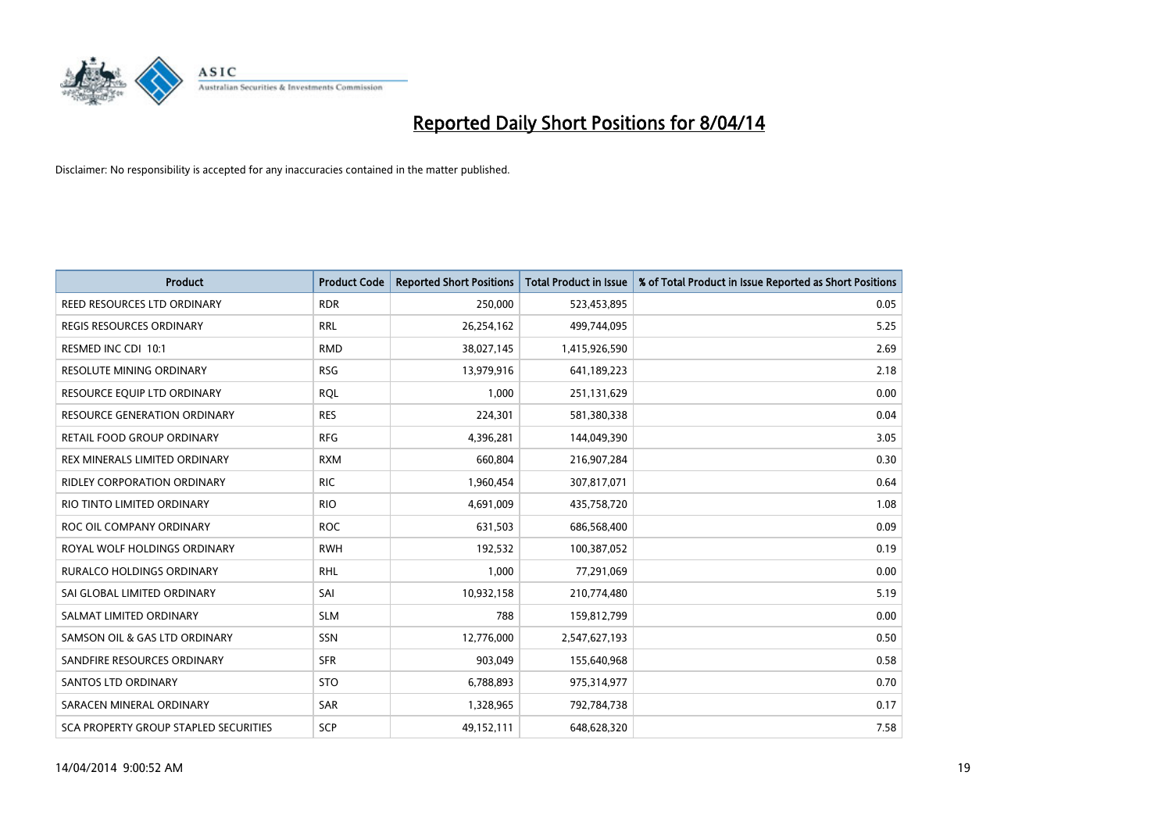

| <b>Product</b>                        | <b>Product Code</b> | <b>Reported Short Positions</b> | <b>Total Product in Issue</b> | % of Total Product in Issue Reported as Short Positions |
|---------------------------------------|---------------------|---------------------------------|-------------------------------|---------------------------------------------------------|
| REED RESOURCES LTD ORDINARY           | <b>RDR</b>          | 250,000                         | 523,453,895                   | 0.05                                                    |
| REGIS RESOURCES ORDINARY              | <b>RRL</b>          | 26,254,162                      | 499,744,095                   | 5.25                                                    |
| RESMED INC CDI 10:1                   | <b>RMD</b>          | 38,027,145                      | 1,415,926,590                 | 2.69                                                    |
| RESOLUTE MINING ORDINARY              | <b>RSG</b>          | 13,979,916                      | 641,189,223                   | 2.18                                                    |
| RESOURCE EQUIP LTD ORDINARY           | <b>ROL</b>          | 1,000                           | 251,131,629                   | 0.00                                                    |
| RESOURCE GENERATION ORDINARY          | <b>RES</b>          | 224,301                         | 581,380,338                   | 0.04                                                    |
| RETAIL FOOD GROUP ORDINARY            | <b>RFG</b>          | 4,396,281                       | 144,049,390                   | 3.05                                                    |
| REX MINERALS LIMITED ORDINARY         | <b>RXM</b>          | 660,804                         | 216,907,284                   | 0.30                                                    |
| RIDLEY CORPORATION ORDINARY           | <b>RIC</b>          | 1,960,454                       | 307,817,071                   | 0.64                                                    |
| RIO TINTO LIMITED ORDINARY            | <b>RIO</b>          | 4,691,009                       | 435,758,720                   | 1.08                                                    |
| ROC OIL COMPANY ORDINARY              | <b>ROC</b>          | 631,503                         | 686,568,400                   | 0.09                                                    |
| ROYAL WOLF HOLDINGS ORDINARY          | <b>RWH</b>          | 192,532                         | 100,387,052                   | 0.19                                                    |
| <b>RURALCO HOLDINGS ORDINARY</b>      | <b>RHL</b>          | 1,000                           | 77,291,069                    | 0.00                                                    |
| SAI GLOBAL LIMITED ORDINARY           | SAI                 | 10,932,158                      | 210,774,480                   | 5.19                                                    |
| SALMAT LIMITED ORDINARY               | <b>SLM</b>          | 788                             | 159,812,799                   | 0.00                                                    |
| SAMSON OIL & GAS LTD ORDINARY         | SSN                 | 12,776,000                      | 2,547,627,193                 | 0.50                                                    |
| SANDFIRE RESOURCES ORDINARY           | <b>SFR</b>          | 903,049                         | 155,640,968                   | 0.58                                                    |
| SANTOS LTD ORDINARY                   | <b>STO</b>          | 6,788,893                       | 975,314,977                   | 0.70                                                    |
| SARACEN MINERAL ORDINARY              | <b>SAR</b>          | 1,328,965                       | 792,784,738                   | 0.17                                                    |
| SCA PROPERTY GROUP STAPLED SECURITIES | SCP                 | 49,152,111                      | 648,628,320                   | 7.58                                                    |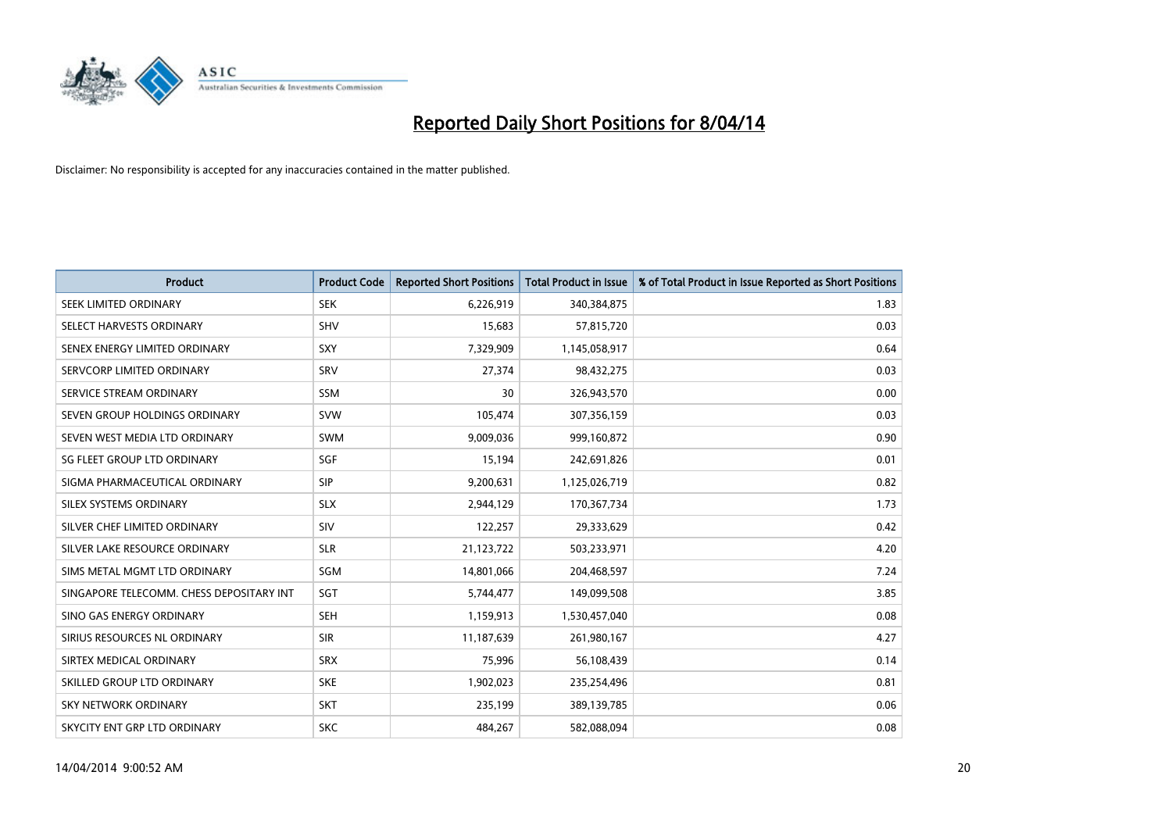

| <b>Product</b>                           | <b>Product Code</b> | <b>Reported Short Positions</b> | <b>Total Product in Issue</b> | % of Total Product in Issue Reported as Short Positions |
|------------------------------------------|---------------------|---------------------------------|-------------------------------|---------------------------------------------------------|
| SEEK LIMITED ORDINARY                    | <b>SEK</b>          | 6,226,919                       | 340,384,875                   | 1.83                                                    |
| SELECT HARVESTS ORDINARY                 | <b>SHV</b>          | 15,683                          | 57,815,720                    | 0.03                                                    |
| SENEX ENERGY LIMITED ORDINARY            | <b>SXY</b>          | 7,329,909                       | 1,145,058,917                 | 0.64                                                    |
| SERVCORP LIMITED ORDINARY                | SRV                 | 27,374                          | 98,432,275                    | 0.03                                                    |
| SERVICE STREAM ORDINARY                  | <b>SSM</b>          | 30                              | 326,943,570                   | 0.00                                                    |
| SEVEN GROUP HOLDINGS ORDINARY            | <b>SVW</b>          | 105,474                         | 307,356,159                   | 0.03                                                    |
| SEVEN WEST MEDIA LTD ORDINARY            | SWM                 | 9,009,036                       | 999,160,872                   | 0.90                                                    |
| SG FLEET GROUP LTD ORDINARY              | SGF                 | 15,194                          | 242,691,826                   | 0.01                                                    |
| SIGMA PHARMACEUTICAL ORDINARY            | <b>SIP</b>          | 9,200,631                       | 1,125,026,719                 | 0.82                                                    |
| SILEX SYSTEMS ORDINARY                   | <b>SLX</b>          | 2,944,129                       | 170,367,734                   | 1.73                                                    |
| SILVER CHEF LIMITED ORDINARY             | SIV                 | 122,257                         | 29,333,629                    | 0.42                                                    |
| SILVER LAKE RESOURCE ORDINARY            | <b>SLR</b>          | 21,123,722                      | 503,233,971                   | 4.20                                                    |
| SIMS METAL MGMT LTD ORDINARY             | SGM                 | 14,801,066                      | 204,468,597                   | 7.24                                                    |
| SINGAPORE TELECOMM. CHESS DEPOSITARY INT | SGT                 | 5,744,477                       | 149,099,508                   | 3.85                                                    |
| SINO GAS ENERGY ORDINARY                 | <b>SEH</b>          | 1,159,913                       | 1,530,457,040                 | 0.08                                                    |
| SIRIUS RESOURCES NL ORDINARY             | <b>SIR</b>          | 11,187,639                      | 261,980,167                   | 4.27                                                    |
| SIRTEX MEDICAL ORDINARY                  | <b>SRX</b>          | 75,996                          | 56,108,439                    | 0.14                                                    |
| SKILLED GROUP LTD ORDINARY               | <b>SKE</b>          | 1,902,023                       | 235,254,496                   | 0.81                                                    |
| <b>SKY NETWORK ORDINARY</b>              | <b>SKT</b>          | 235,199                         | 389,139,785                   | 0.06                                                    |
| SKYCITY ENT GRP LTD ORDINARY             | <b>SKC</b>          | 484,267                         | 582,088,094                   | 0.08                                                    |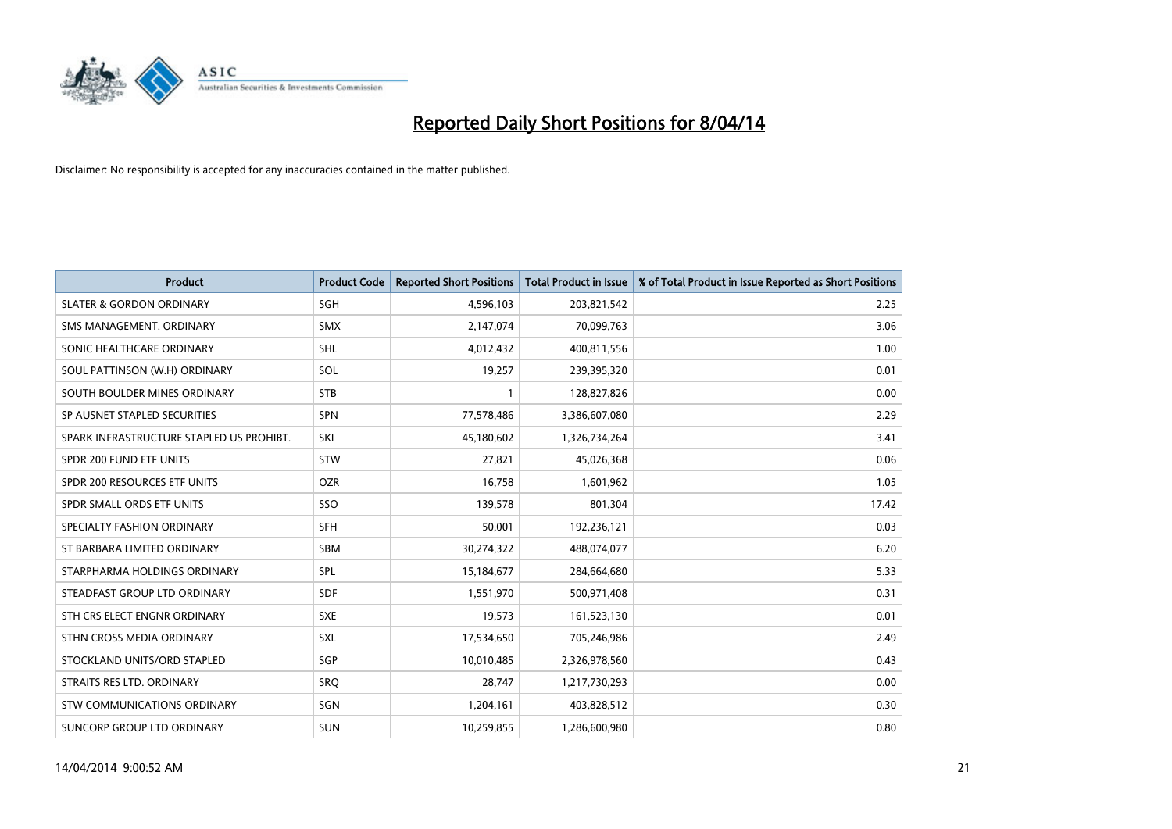

| <b>Product</b>                           | <b>Product Code</b> | <b>Reported Short Positions</b> | <b>Total Product in Issue</b> | % of Total Product in Issue Reported as Short Positions |
|------------------------------------------|---------------------|---------------------------------|-------------------------------|---------------------------------------------------------|
| <b>SLATER &amp; GORDON ORDINARY</b>      | SGH                 | 4,596,103                       | 203,821,542                   | 2.25                                                    |
| SMS MANAGEMENT. ORDINARY                 | <b>SMX</b>          | 2,147,074                       | 70,099,763                    | 3.06                                                    |
| SONIC HEALTHCARE ORDINARY                | SHL                 | 4,012,432                       | 400,811,556                   | 1.00                                                    |
| SOUL PATTINSON (W.H) ORDINARY            | SOL                 | 19,257                          | 239,395,320                   | 0.01                                                    |
| SOUTH BOULDER MINES ORDINARY             | <b>STB</b>          | $\mathbf{1}$                    | 128,827,826                   | 0.00                                                    |
| SP AUSNET STAPLED SECURITIES             | SPN                 | 77,578,486                      | 3,386,607,080                 | 2.29                                                    |
| SPARK INFRASTRUCTURE STAPLED US PROHIBT. | SKI                 | 45,180,602                      | 1,326,734,264                 | 3.41                                                    |
| SPDR 200 FUND ETF UNITS                  | <b>STW</b>          | 27,821                          | 45,026,368                    | 0.06                                                    |
| SPDR 200 RESOURCES ETF UNITS             | <b>OZR</b>          | 16,758                          | 1,601,962                     | 1.05                                                    |
| SPDR SMALL ORDS ETF UNITS                | SSO                 | 139,578                         | 801,304                       | 17.42                                                   |
| SPECIALTY FASHION ORDINARY               | <b>SFH</b>          | 50,001                          | 192,236,121                   | 0.03                                                    |
| ST BARBARA LIMITED ORDINARY              | SBM                 | 30,274,322                      | 488,074,077                   | 6.20                                                    |
| STARPHARMA HOLDINGS ORDINARY             | <b>SPL</b>          | 15,184,677                      | 284,664,680                   | 5.33                                                    |
| STEADFAST GROUP LTD ORDINARY             | <b>SDF</b>          | 1,551,970                       | 500,971,408                   | 0.31                                                    |
| STH CRS ELECT ENGNR ORDINARY             | <b>SXE</b>          | 19,573                          | 161,523,130                   | 0.01                                                    |
| STHN CROSS MEDIA ORDINARY                | SXL                 | 17,534,650                      | 705,246,986                   | 2.49                                                    |
| STOCKLAND UNITS/ORD STAPLED              | SGP                 | 10,010,485                      | 2,326,978,560                 | 0.43                                                    |
| STRAITS RES LTD. ORDINARY                | <b>SRO</b>          | 28,747                          | 1,217,730,293                 | 0.00                                                    |
| STW COMMUNICATIONS ORDINARY              | SGN                 | 1,204,161                       | 403,828,512                   | 0.30                                                    |
| SUNCORP GROUP LTD ORDINARY               | <b>SUN</b>          | 10,259,855                      | 1,286,600,980                 | 0.80                                                    |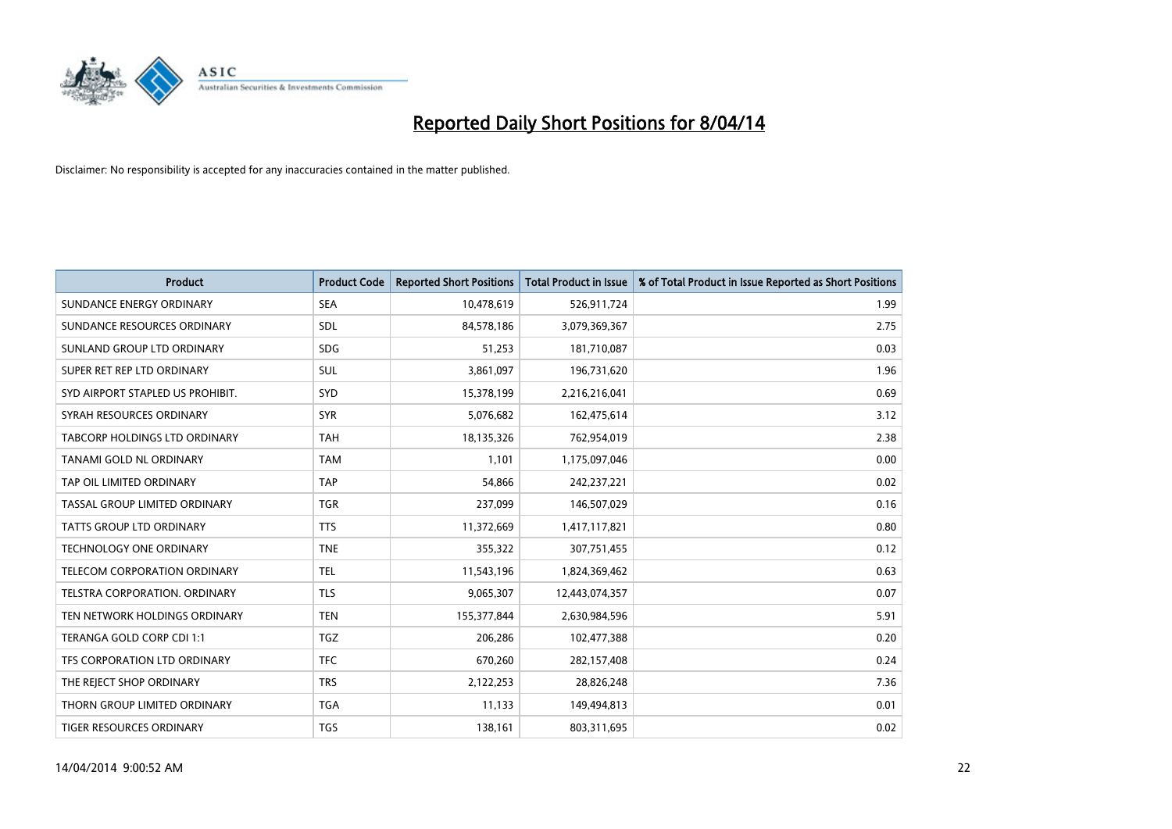

| <b>Product</b>                   | <b>Product Code</b> | <b>Reported Short Positions</b> | <b>Total Product in Issue</b> | % of Total Product in Issue Reported as Short Positions |
|----------------------------------|---------------------|---------------------------------|-------------------------------|---------------------------------------------------------|
| SUNDANCE ENERGY ORDINARY         | <b>SEA</b>          | 10,478,619                      | 526,911,724                   | 1.99                                                    |
| SUNDANCE RESOURCES ORDINARY      | <b>SDL</b>          | 84,578,186                      | 3,079,369,367                 | 2.75                                                    |
| SUNLAND GROUP LTD ORDINARY       | <b>SDG</b>          | 51,253                          | 181,710,087                   | 0.03                                                    |
| SUPER RET REP LTD ORDINARY       | <b>SUL</b>          | 3,861,097                       | 196,731,620                   | 1.96                                                    |
| SYD AIRPORT STAPLED US PROHIBIT. | <b>SYD</b>          | 15,378,199                      | 2,216,216,041                 | 0.69                                                    |
| SYRAH RESOURCES ORDINARY         | <b>SYR</b>          | 5,076,682                       | 162,475,614                   | 3.12                                                    |
| TABCORP HOLDINGS LTD ORDINARY    | <b>TAH</b>          | 18,135,326                      | 762,954,019                   | 2.38                                                    |
| TANAMI GOLD NL ORDINARY          | <b>TAM</b>          | 1,101                           | 1,175,097,046                 | 0.00                                                    |
| TAP OIL LIMITED ORDINARY         | <b>TAP</b>          | 54,866                          | 242,237,221                   | 0.02                                                    |
| TASSAL GROUP LIMITED ORDINARY    | <b>TGR</b>          | 237,099                         | 146,507,029                   | 0.16                                                    |
| TATTS GROUP LTD ORDINARY         | <b>TTS</b>          | 11,372,669                      | 1,417,117,821                 | 0.80                                                    |
| TECHNOLOGY ONE ORDINARY          | <b>TNE</b>          | 355,322                         | 307,751,455                   | 0.12                                                    |
| TELECOM CORPORATION ORDINARY     | <b>TEL</b>          | 11,543,196                      | 1,824,369,462                 | 0.63                                                    |
| TELSTRA CORPORATION, ORDINARY    | <b>TLS</b>          | 9,065,307                       | 12,443,074,357                | 0.07                                                    |
| TEN NETWORK HOLDINGS ORDINARY    | <b>TEN</b>          | 155,377,844                     | 2,630,984,596                 | 5.91                                                    |
| TERANGA GOLD CORP CDI 1:1        | <b>TGZ</b>          | 206,286                         | 102,477,388                   | 0.20                                                    |
| TFS CORPORATION LTD ORDINARY     | <b>TFC</b>          | 670,260                         | 282,157,408                   | 0.24                                                    |
| THE REJECT SHOP ORDINARY         | <b>TRS</b>          | 2,122,253                       | 28,826,248                    | 7.36                                                    |
| THORN GROUP LIMITED ORDINARY     | <b>TGA</b>          | 11,133                          | 149,494,813                   | 0.01                                                    |
| TIGER RESOURCES ORDINARY         | <b>TGS</b>          | 138,161                         | 803,311,695                   | 0.02                                                    |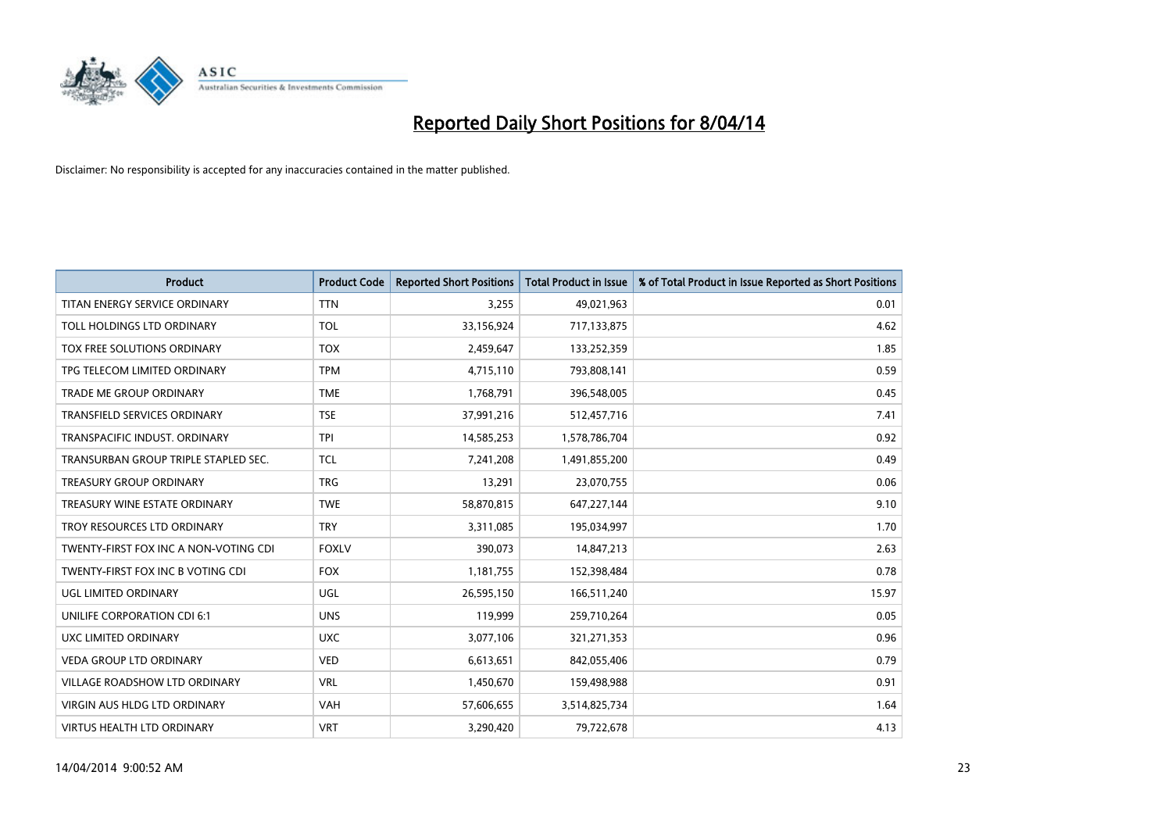

| <b>Product</b>                        | <b>Product Code</b> | <b>Reported Short Positions</b> | <b>Total Product in Issue</b> | % of Total Product in Issue Reported as Short Positions |
|---------------------------------------|---------------------|---------------------------------|-------------------------------|---------------------------------------------------------|
| TITAN ENERGY SERVICE ORDINARY         | <b>TTN</b>          | 3,255                           | 49,021,963                    | 0.01                                                    |
| TOLL HOLDINGS LTD ORDINARY            | <b>TOL</b>          | 33,156,924                      | 717,133,875                   | 4.62                                                    |
| TOX FREE SOLUTIONS ORDINARY           | <b>TOX</b>          | 2,459,647                       | 133,252,359                   | 1.85                                                    |
| TPG TELECOM LIMITED ORDINARY          | <b>TPM</b>          | 4,715,110                       | 793,808,141                   | 0.59                                                    |
| <b>TRADE ME GROUP ORDINARY</b>        | <b>TME</b>          | 1,768,791                       | 396,548,005                   | 0.45                                                    |
| <b>TRANSFIELD SERVICES ORDINARY</b>   | <b>TSE</b>          | 37,991,216                      | 512,457,716                   | 7.41                                                    |
| TRANSPACIFIC INDUST, ORDINARY         | <b>TPI</b>          | 14,585,253                      | 1,578,786,704                 | 0.92                                                    |
| TRANSURBAN GROUP TRIPLE STAPLED SEC.  | <b>TCL</b>          | 7,241,208                       | 1,491,855,200                 | 0.49                                                    |
| <b>TREASURY GROUP ORDINARY</b>        | <b>TRG</b>          | 13,291                          | 23,070,755                    | 0.06                                                    |
| TREASURY WINE ESTATE ORDINARY         | <b>TWE</b>          | 58,870,815                      | 647,227,144                   | 9.10                                                    |
| TROY RESOURCES LTD ORDINARY           | <b>TRY</b>          | 3,311,085                       | 195,034,997                   | 1.70                                                    |
| TWENTY-FIRST FOX INC A NON-VOTING CDI | <b>FOXLV</b>        | 390,073                         | 14,847,213                    | 2.63                                                    |
| TWENTY-FIRST FOX INC B VOTING CDI     | <b>FOX</b>          | 1,181,755                       | 152,398,484                   | 0.78                                                    |
| UGL LIMITED ORDINARY                  | UGL                 | 26,595,150                      | 166,511,240                   | 15.97                                                   |
| UNILIFE CORPORATION CDI 6:1           | <b>UNS</b>          | 119,999                         | 259,710,264                   | 0.05                                                    |
| UXC LIMITED ORDINARY                  | <b>UXC</b>          | 3,077,106                       | 321,271,353                   | 0.96                                                    |
| VEDA GROUP LTD ORDINARY               | <b>VED</b>          | 6,613,651                       | 842,055,406                   | 0.79                                                    |
| VILLAGE ROADSHOW LTD ORDINARY         | <b>VRL</b>          | 1,450,670                       | 159,498,988                   | 0.91                                                    |
| <b>VIRGIN AUS HLDG LTD ORDINARY</b>   | <b>VAH</b>          | 57,606,655                      | 3,514,825,734                 | 1.64                                                    |
| VIRTUS HEALTH LTD ORDINARY            | <b>VRT</b>          | 3,290,420                       | 79,722,678                    | 4.13                                                    |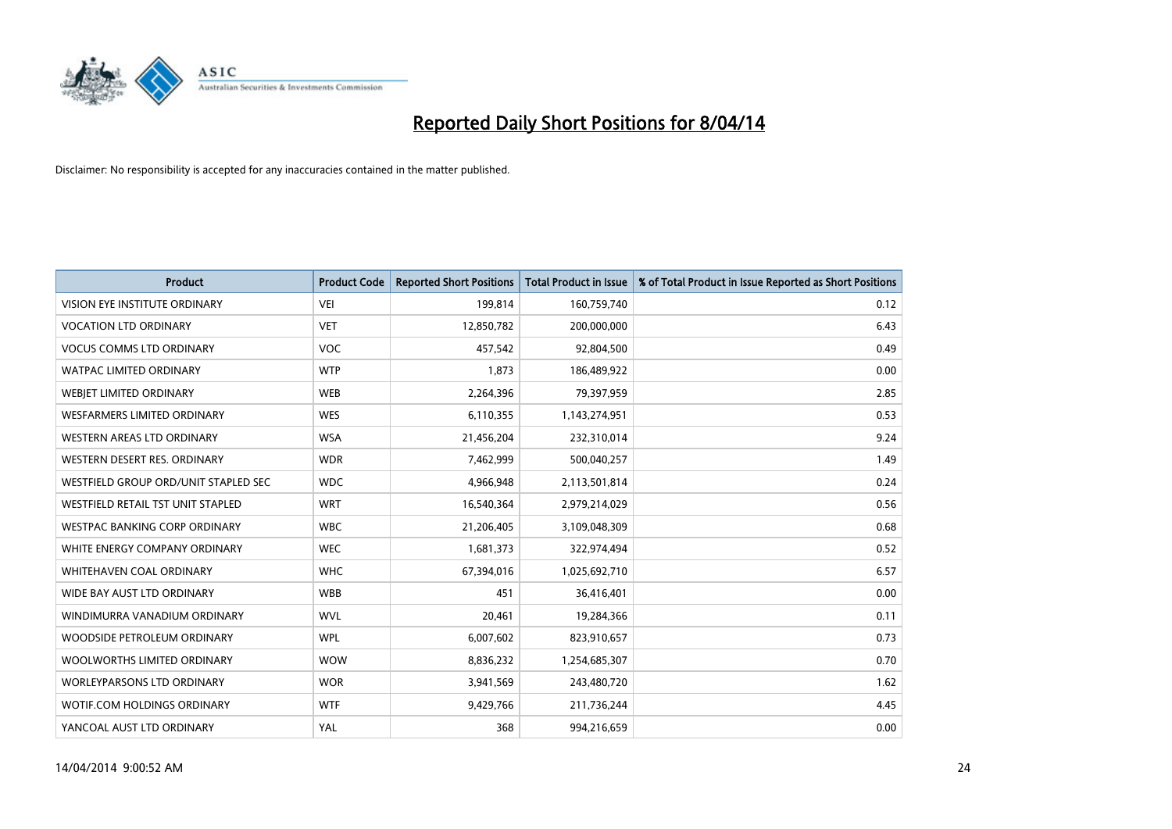

| <b>Product</b>                       | <b>Product Code</b> | <b>Reported Short Positions</b> | <b>Total Product in Issue</b> | % of Total Product in Issue Reported as Short Positions |
|--------------------------------------|---------------------|---------------------------------|-------------------------------|---------------------------------------------------------|
| VISION EYE INSTITUTE ORDINARY        | <b>VEI</b>          | 199,814                         | 160,759,740                   | 0.12                                                    |
| <b>VOCATION LTD ORDINARY</b>         | <b>VET</b>          | 12,850,782                      | 200,000,000                   | 6.43                                                    |
| <b>VOCUS COMMS LTD ORDINARY</b>      | <b>VOC</b>          | 457,542                         | 92,804,500                    | 0.49                                                    |
| WATPAC LIMITED ORDINARY              | <b>WTP</b>          | 1,873                           | 186,489,922                   | 0.00                                                    |
| WEBJET LIMITED ORDINARY              | <b>WEB</b>          | 2,264,396                       | 79,397,959                    | 2.85                                                    |
| <b>WESFARMERS LIMITED ORDINARY</b>   | <b>WES</b>          | 6,110,355                       | 1,143,274,951                 | 0.53                                                    |
| WESTERN AREAS LTD ORDINARY           | <b>WSA</b>          | 21,456,204                      | 232,310,014                   | 9.24                                                    |
| WESTERN DESERT RES. ORDINARY         | <b>WDR</b>          | 7,462,999                       | 500,040,257                   | 1.49                                                    |
| WESTFIELD GROUP ORD/UNIT STAPLED SEC | <b>WDC</b>          | 4,966,948                       | 2,113,501,814                 | 0.24                                                    |
| WESTFIELD RETAIL TST UNIT STAPLED    | <b>WRT</b>          | 16,540,364                      | 2,979,214,029                 | 0.56                                                    |
| <b>WESTPAC BANKING CORP ORDINARY</b> | <b>WBC</b>          | 21,206,405                      | 3,109,048,309                 | 0.68                                                    |
| WHITE ENERGY COMPANY ORDINARY        | <b>WEC</b>          | 1,681,373                       | 322,974,494                   | 0.52                                                    |
| WHITEHAVEN COAL ORDINARY             | <b>WHC</b>          | 67,394,016                      | 1,025,692,710                 | 6.57                                                    |
| WIDE BAY AUST LTD ORDINARY           | <b>WBB</b>          | 451                             | 36,416,401                    | 0.00                                                    |
| WINDIMURRA VANADIUM ORDINARY         | <b>WVL</b>          | 20,461                          | 19,284,366                    | 0.11                                                    |
| WOODSIDE PETROLEUM ORDINARY          | <b>WPL</b>          | 6,007,602                       | 823,910,657                   | 0.73                                                    |
| WOOLWORTHS LIMITED ORDINARY          | <b>WOW</b>          | 8,836,232                       | 1,254,685,307                 | 0.70                                                    |
| WORLEYPARSONS LTD ORDINARY           | <b>WOR</b>          | 3,941,569                       | 243,480,720                   | 1.62                                                    |
| WOTIF.COM HOLDINGS ORDINARY          | <b>WTF</b>          | 9,429,766                       | 211,736,244                   | 4.45                                                    |
| YANCOAL AUST LTD ORDINARY            | YAL                 | 368                             | 994,216,659                   | 0.00                                                    |